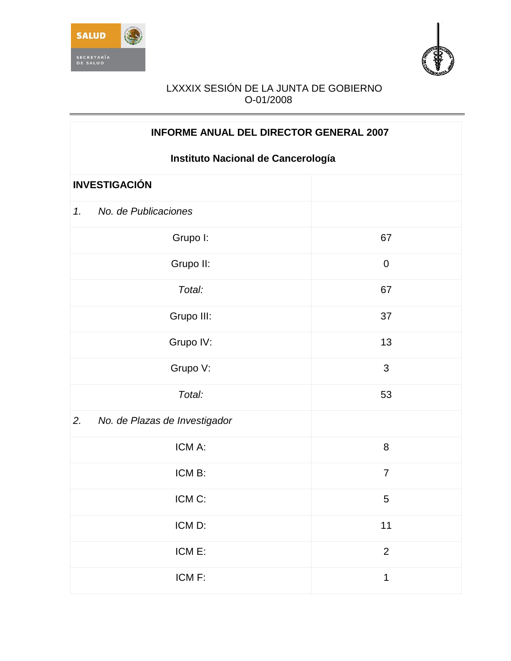



| <b>INFORME ANUAL DEL DIRECTOR GENERAL 2007</b> |                |  |
|------------------------------------------------|----------------|--|
| Instituto Nacional de Cancerología             |                |  |
| <b>INVESTIGACIÓN</b>                           |                |  |
| No. de Publicaciones<br>1.                     |                |  |
| Grupo I:                                       | 67             |  |
| Grupo II:                                      | $\mathbf 0$    |  |
| Total:                                         | 67             |  |
| Grupo III:                                     | 37             |  |
| Grupo IV:                                      | 13             |  |
| Grupo V:                                       | 3              |  |
| Total:                                         | 53             |  |
| 2.<br>No. de Plazas de Investigador            |                |  |
| ICM A:                                         | 8              |  |
| ICM B:                                         | $\overline{7}$ |  |
| ICM C:                                         | 5              |  |
| ICM D:                                         | $11$           |  |
| ICM E:                                         | $\overline{2}$ |  |
| ICM F:                                         | $\mathbf 1$    |  |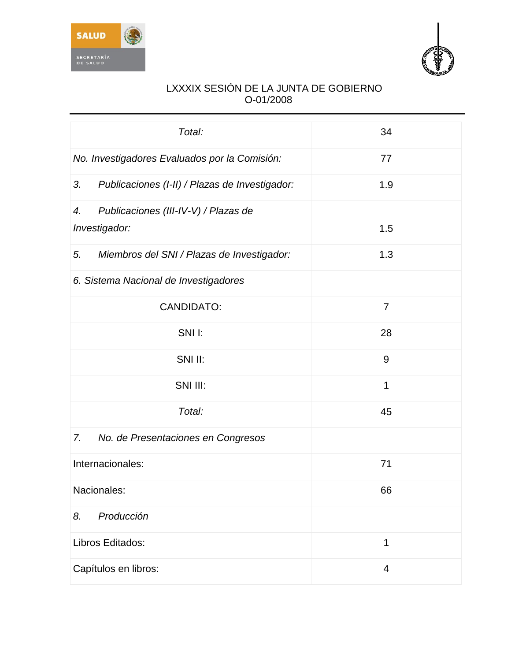



| Total:                                               | 34             |
|------------------------------------------------------|----------------|
| No. Investigadores Evaluados por la Comisión:        | 77             |
| 3.<br>Publicaciones (I-II) / Plazas de Investigador: | 1.9            |
| Publicaciones (III-IV-V) / Plazas de<br>4.           |                |
| Investigador:                                        | 1.5            |
| 5.<br>Miembros del SNI / Plazas de Investigador:     | 1.3            |
| 6. Sistema Nacional de Investigadores                |                |
| <b>CANDIDATO:</b>                                    | $\overline{7}$ |
| SNII:                                                | 28             |
| SNI II:                                              | 9              |
| SNI III:                                             | 1              |
| Total:                                               | 45             |
| 7.<br>No. de Presentaciones en Congresos             |                |
| Internacionales:                                     | 71             |
| Nacionales:                                          | 66             |
| Producción<br>8.                                     |                |
| Libros Editados:                                     | 1              |
| Capítulos en libros:                                 | 4              |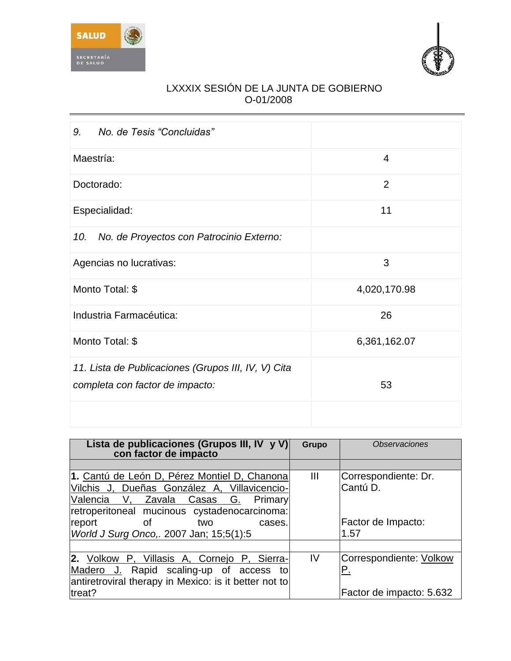



| No. de Tesis "Concluidas"<br>9.                                                        |                |
|----------------------------------------------------------------------------------------|----------------|
| Maestría:                                                                              | 4              |
| Doctorado:                                                                             | $\overline{2}$ |
| Especialidad:                                                                          | 11             |
| No. de Proyectos con Patrocinio Externo:<br>10.                                        |                |
| Agencias no lucrativas:                                                                | 3              |
| Monto Total: \$                                                                        | 4,020,170.98   |
| Industria Farmacéutica:                                                                | 26             |
| Monto Total: \$                                                                        | 6,361,162.07   |
| 11. Lista de Publicaciones (Grupos III, IV, V) Cita<br>completa con factor de impacto: | 53             |
|                                                                                        |                |

| Lista de publicaciones (Grupos III, IV y V)<br>con factor de impacto | <b>Grupo</b>   | <i><b>Observaciones</b></i> |
|----------------------------------------------------------------------|----------------|-----------------------------|
|                                                                      |                |                             |
| 1. Cantú de León D, Pérez Montiel D, Chanona                         | $\mathbf{III}$ | Correspondiente: Dr.        |
| Vilchis J, Dueñas González A, Villavicencio-                         |                | Cantú D.                    |
| G.<br>Valencia<br>V.<br>Zavala<br>Casas<br>Primary                   |                |                             |
| retroperitoneal mucinous cystadenocarcinoma:                         |                |                             |
| report<br>οf<br>two<br>cases.                                        |                | Factor de Impacto:          |
| World J Surg Onco,. 2007 Jan; 15;5(1):5                              |                | 1.57                        |
|                                                                      |                |                             |
| 2. Volkow P, Villasis A, Cornejo P, Sierra-                          | IV             | Correspondiente: Volkow     |
| Madero J. Rapid scaling-up of access<br>to                           |                | Ρ.                          |
| antiretroviral therapy in Mexico: is it better not to                |                |                             |
| treat?                                                               |                | Factor de impacto: 5.632    |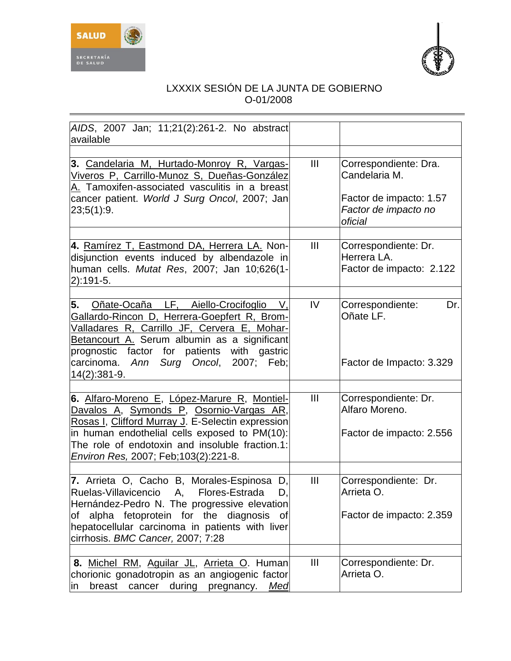



| AIDS, 2007 Jan; 11;21(2):261-2. No abstract<br>available                                                                                                                                                                                                                                               |                |                                                                                                      |
|--------------------------------------------------------------------------------------------------------------------------------------------------------------------------------------------------------------------------------------------------------------------------------------------------------|----------------|------------------------------------------------------------------------------------------------------|
|                                                                                                                                                                                                                                                                                                        |                |                                                                                                      |
| 3. Candelaria M, Hurtado-Monroy R, Vargas-<br>Viveros P, Carrillo-Munoz S, Dueñas-González<br>A. Tamoxifen-associated vasculitis in a breast<br>cancer patient. World J Surg Oncol, 2007; Jan<br>23;5(1):9.                                                                                            | III            | Correspondiente: Dra.<br>Candelaria M.<br>Factor de impacto: 1.57<br>Factor de impacto no<br>oficial |
| 4. Ramírez T, Eastmond DA, Herrera LA. Non-<br>disjunction events induced by albendazole in<br>human cells. Mutat Res, 2007; Jan 10;626(1-<br>$2):191-5.$                                                                                                                                              | $\mathbf{III}$ | Correspondiente: Dr.<br>Herrera LA.<br>Factor de impacto: 2.122                                      |
| 5.<br>Oñate-Ocaña LF, Aiello-Crocifoglio<br>V.<br>Gallardo-Rincon D, Herrera-Goepfert R, Brom-<br>Valladares R, Carrillo JF, Cervera E, Mohar-<br>Betancourt A. Serum albumin as a significant<br>prognostic factor for patients with gastric<br>carcinoma. Ann Surg Oncol, 2007; Feb;<br>14(2):381-9. | IV             | Correspondiente:<br>Dr.<br>Oñate LF.<br>Factor de Impacto: 3.329                                     |
| 6. Alfaro-Moreno E, López-Marure R, Montiel-<br><u>Davalos A, Symonds P, Osornio-Vargas AR,</u><br>Rosas I, Clifford Murray J. E-Selectin expression<br>in human endothelial cells exposed to PM(10):<br>The role of endotoxin and insoluble fraction.1:<br>Environ Res, 2007; Feb; 103(2): 221-8.     | $\mathbf{III}$ | Correspondiente: Dr.<br>Alfaro Moreno.<br>Factor de impacto: 2.556                                   |
| 7. Arrieta O, Cacho B, Morales-Espinosa D,<br>Ruelas-Villavicencio A, Flores-Estrada<br>D.<br>Hernández-Pedro N. The progressive elevation<br>of alpha fetoprotein for the diagnosis<br>of<br>hepatocellular carcinoma in patients with liver<br>cirrhosis. BMC Cancer, 2007; 7:28                     | $\mathbf{III}$ | Correspondiente: Dr.<br>Arrieta O.<br>Factor de impacto: 2.359                                       |
| 8. Michel RM, Aguilar JL, Arrieta O. Human<br>chorionic gonadotropin as an angiogenic factor<br>breast<br>during<br>cancer<br>pregnancy.<br>Med<br>in                                                                                                                                                  | $\mathbf{III}$ | Correspondiente: Dr.<br>Arrieta O.                                                                   |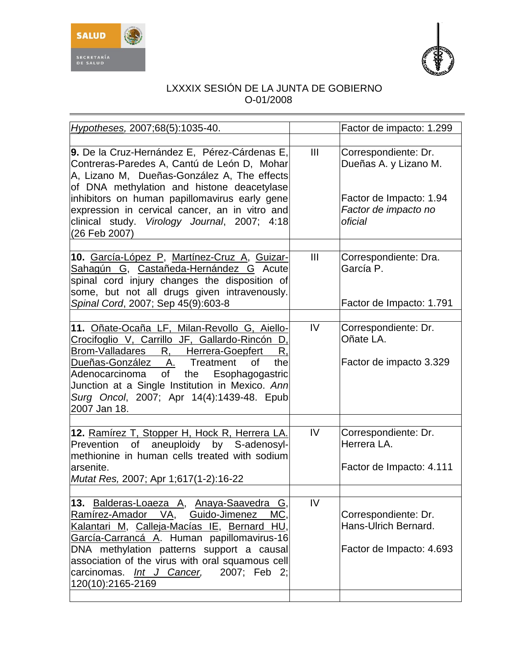



| Hypotheses, 2007;68(5):1035-40.                                                                                                                                                                                                                                                                                                                              |     | Factor de impacto: 1.299                                                                                    |
|--------------------------------------------------------------------------------------------------------------------------------------------------------------------------------------------------------------------------------------------------------------------------------------------------------------------------------------------------------------|-----|-------------------------------------------------------------------------------------------------------------|
| 9. De la Cruz-Hernández E, Pérez-Cárdenas E,<br>Contreras-Paredes A, Cantú de León D, Mohar<br>A, Lizano M, Dueñas-González A, The effects<br>of DNA methylation and histone deacetylase<br>inhibitors on human papillomavirus early gene<br>expression in cervical cancer, an in vitro and<br>clinical study. Virology Journal, 2007; 4:18<br>(26 Feb 2007) | III | Correspondiente: Dr.<br>Dueñas A. y Lizano M.<br>Factor de Impacto: 1.94<br>Factor de impacto no<br>oficial |
| 10. García-López P, Martínez-Cruz A, Guizar-<br>Sahagún G, Castañeda-Hernández G Acute<br>spinal cord injury changes the disposition of<br>some, but not all drugs given intravenously.<br>Spinal Cord, 2007; Sep 45(9):603-8                                                                                                                                | III | Correspondiente: Dra.<br>García P.<br>Factor de Impacto: 1.791                                              |
| 11. Oñate-Ocaña LF, Milan-Revollo G, Aiello-<br>Crocifoglio V, Carrillo JF, Gallardo-Rincón D,<br>Brom-Valladares R, Herrera-Goepfert<br>R,<br>the<br>Dueñas-González A. Treatment<br>0f<br>Adenocarcinoma of<br>the<br>Esophagogastric<br>Junction at a Single Institution in Mexico. Ann<br>Surg Oncol, 2007; Apr 14(4):1439-48. Epub<br>2007 Jan 18.      | IV  | Correspondiente: Dr.<br>Oñate LA.<br>Factor de impacto 3.329                                                |
| 12. Ramírez T, Stopper H, Hock R, Herrera LA.<br>Prevention of aneuploidy by S-adenosyl-<br>methionine in human cells treated with sodium<br>arsenite.<br>Mutat Res, 2007; Apr 1;617(1-2):16-22                                                                                                                                                              | IV  | Correspondiente: Dr.<br>Herrera LA.<br>Factor de Impacto: 4.111                                             |
| 13. Balderas-Loaeza A, Anaya-Saavedra G,<br>Ramírez-Amador VA,<br>Guido-Jimenez<br>MC,<br>Kalantari M, Calleja-Macías IE, Bernard HU,<br>García-Carrancá A. Human papillomavirus-16<br>DNA methylation patterns support a causal<br>association of the virus with oral squamous cell<br>carcinomas. Int J Cancer,<br>2007: Feb 2:<br>120(10):2165-2169       | IV  | Correspondiente: Dr.<br>Hans-Ulrich Bernard.<br>Factor de Impacto: 4.693                                    |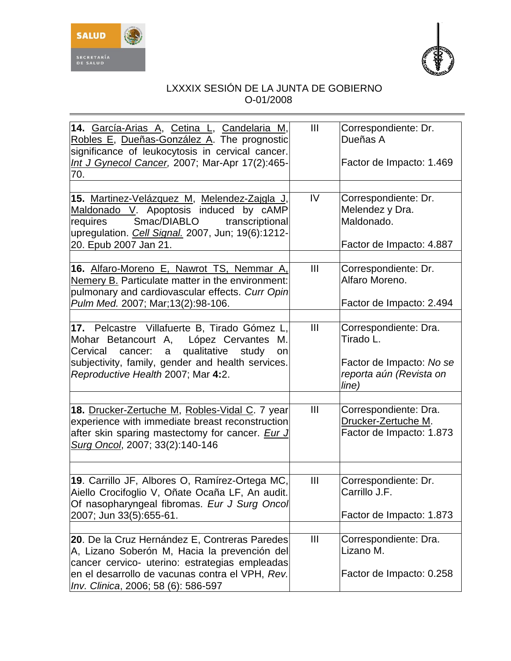



| 14. García-Arias A, Cetina L, Candelaria M,<br>Robles E, Dueñas-González A. The prognostic<br>significance of leukocytosis in cervical cancer.<br>Int J Gynecol Cancer, 2007; Mar-Apr 17(2):465-<br>70.                                                | $\mathbf{III}$ | Correspondiente: Dr.<br>Dueñas A<br>Factor de Impacto: 1.469                                       |
|--------------------------------------------------------------------------------------------------------------------------------------------------------------------------------------------------------------------------------------------------------|----------------|----------------------------------------------------------------------------------------------------|
| 15. Martinez-Velázquez M, Melendez-Zaigla J,<br>Maldonado V. Apoptosis induced by cAMP<br>Smac/DIABLO<br>transcriptional<br>requires<br>upregulation. Cell Signal. 2007, Jun; 19(6):1212-<br>20. Epub 2007 Jan 21.                                     | IV             | Correspondiente: Dr.<br>Melendez y Dra.<br>Maldonado.<br>Factor de Impacto: 4.887                  |
| 16. Alfaro-Moreno E, Nawrot TS, Nemmar A,<br>Nemery B. Particulate matter in the environment:<br>pulmonary and cardiovascular effects. Curr Opin<br>Pulm Med. 2007; Mar; 13(2): 98-106.                                                                | $\mathbf{III}$ | Correspondiente: Dr.<br>Alfaro Moreno.<br>Factor de Impacto: 2.494                                 |
| 17. Pelcastre Villafuerte B, Tirado Gómez L,<br>Mohar Betancourt A, López Cervantes M.<br>qualitative<br>Cervical<br>cancer:<br>study<br>$\mathsf{a}$<br>on<br>subjectivity, family, gender and health services.<br>Reproductive Health 2007; Mar 4:2. | $\mathbf{III}$ | Correspondiente: Dra.<br>Tirado L.<br>Factor de Impacto: No se<br>reporta aún (Revista on<br>line) |
| 18. Drucker-Zertuche M, Robles-Vidal C. 7 year<br>experience with immediate breast reconstruction<br>after skin sparing mastectomy for cancer. <i>Eur J</i><br>Surg Oncol, 2007; 33(2):140-146                                                         | $\mathbf{III}$ | Correspondiente: Dra.<br>Drucker-Zertuche M.<br>Factor de Impacto: 1.873                           |
| 19. Carrillo JF, Albores O, Ramírez-Ortega MC,<br>Aiello Crocifoglio V, Oñate Ocaña LF, An audit.<br>Of nasopharyngeal fibromas. Eur J Surg Oncol<br>2007; Jun 33(5):655-61.                                                                           | $\mathbf{III}$ | Correspondiente: Dr.<br>Carrillo J.F.<br>Factor de Impacto: 1.873                                  |
| 20. De la Cruz Hernández E, Contreras Paredes<br>A, Lizano Soberón M, Hacia la prevención del<br>cancer cervico- uterino: estrategias empleadas<br>en el desarrollo de vacunas contra el VPH, Rev.<br>Inv. Clinica, 2006; 58 (6): 586-597              | $\mathbf{III}$ | Correspondiente: Dra.<br>Lizano M.<br>Factor de Impacto: 0.258                                     |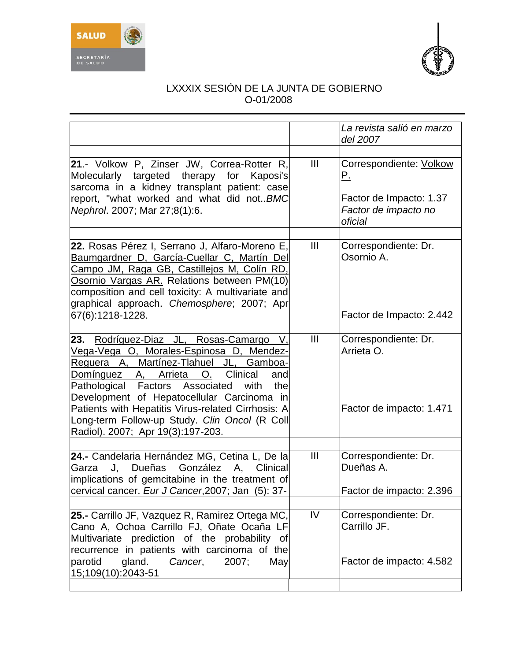



|                                                                                                                                                                                                                                                                                                                                                                                                                          |                | La revista salió en marzo<br>del 2007                                                              |
|--------------------------------------------------------------------------------------------------------------------------------------------------------------------------------------------------------------------------------------------------------------------------------------------------------------------------------------------------------------------------------------------------------------------------|----------------|----------------------------------------------------------------------------------------------------|
|                                                                                                                                                                                                                                                                                                                                                                                                                          |                |                                                                                                    |
| 21.- Volkow P, Zinser JW, Correa-Rotter R,<br>Molecularly targeted therapy for Kaposi's<br>sarcoma in a kidney transplant patient: case<br>report, "what worked and what did not BMC<br>Nephrol. 2007; Mar 27;8(1):6.                                                                                                                                                                                                    | III            | Correspondiente: Volkow<br><u>P.</u><br>Factor de Impacto: 1.37<br>Factor de impacto no<br>oficial |
| 22. Rosas Pérez I, Serrano J, Alfaro-Moreno E,<br>Baumgardner D, García-Cuellar C, Martín Del<br>Campo JM, Raga GB, Castillejos M, Colín RD,<br>Osornio Vargas AR. Relations between PM(10)<br>composition and cell toxicity: A multivariate and<br>graphical approach. Chemosphere; 2007; Apr                                                                                                                           | III            | Correspondiente: Dr.<br>Osornio A.                                                                 |
| 67(6):1218-1228.                                                                                                                                                                                                                                                                                                                                                                                                         |                | Factor de Impacto: 2.442                                                                           |
|                                                                                                                                                                                                                                                                                                                                                                                                                          |                |                                                                                                    |
| 23. Rodríguez-Diaz JL, Rosas-Camargo V,<br>Vega-Vega O, Morales-Espinosa D, Mendez-<br>Reguera A, Martínez-Tlahuel JL, Gamboa-<br>Clinical<br>Domínguez A, Arrieta<br>O.<br>and<br>Pathological Factors Associated with<br>the<br>Development of Hepatocellular Carcinoma in<br>Patients with Hepatitis Virus-related Cirrhosis: A<br>Long-term Follow-up Study. Clin Oncol (R Coll<br>Radiol). 2007; Apr 19(3):197-203. | $\mathbf{III}$ | Correspondiente: Dr.<br>Arrieta O.<br>Factor de impacto: 1.471                                     |
|                                                                                                                                                                                                                                                                                                                                                                                                                          |                |                                                                                                    |
| 24.- Candelaria Hernández MG, Cetina L, De la<br>J. Dueñas González A, Clinical<br>Garza<br>implications of gemcitabine in the treatment of                                                                                                                                                                                                                                                                              | $\mathbf{III}$ | Correspondiente: Dr.<br>Dueñas A.                                                                  |
| cervical cancer. Eur J Cancer, 2007; Jan (5): 37-                                                                                                                                                                                                                                                                                                                                                                        |                | Factor de impacto: 2.396                                                                           |
| 25.- Carrillo JF, Vazquez R, Ramirez Ortega MC,<br>Cano A, Ochoa Carrillo FJ, Oñate Ocaña LF<br>Multivariate prediction of the probability<br>0f<br>recurrence in patients with carcinoma of the<br>parotid<br>gland.<br>2007;<br>Cancer,<br>May                                                                                                                                                                         | IV             | Correspondiente: Dr.<br>Carrillo JF.<br>Factor de impacto: 4.582                                   |
| 15;109(10):2043-51                                                                                                                                                                                                                                                                                                                                                                                                       |                |                                                                                                    |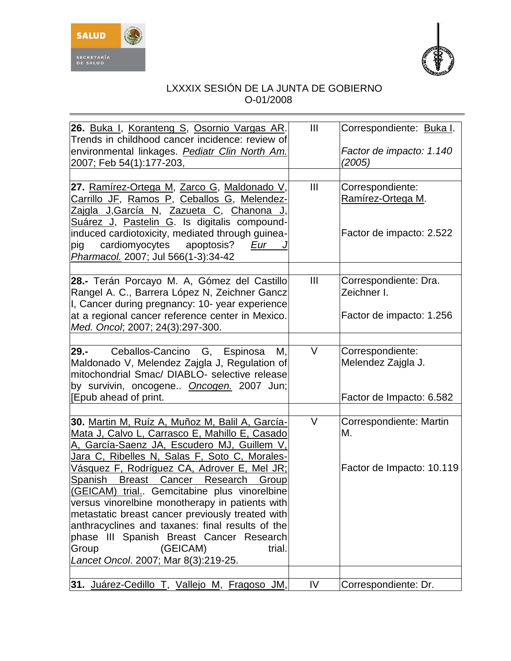



| 26. Buka I, Koranteng S, Osornio Vargas AR.<br>Trends in childhood cancer incidence: review of<br>environmental linkages. <b>Pediatr Clin North Am.</b><br>2007; Feb 54(1):177-203,                                                                                                                                                                                                                                                                                                                                                                                                                                                                 | $\mathbf{III}$ | Correspondiente: Buka I.<br>Factor de impacto: 1.140<br>(2005)     |
|-----------------------------------------------------------------------------------------------------------------------------------------------------------------------------------------------------------------------------------------------------------------------------------------------------------------------------------------------------------------------------------------------------------------------------------------------------------------------------------------------------------------------------------------------------------------------------------------------------------------------------------------------------|----------------|--------------------------------------------------------------------|
| 27. Ramírez-Ortega M, Zarco G, Maldonado V,<br>Carrillo JF, Ramos P, Ceballos G, Melendez-<br>Zajgla J,García N, Zazueta C, Chanona J,<br>Suárez J, Pastelin G. Is digitalis compound-<br>induced cardiotoxicity, mediated through guinea-<br>cardiomyocytes<br>pig<br>apoptosis?<br>Eur<br>Pharmacol. 2007; Jul 566(1-3):34-42                                                                                                                                                                                                                                                                                                                     | $\mathbf{III}$ | Correspondiente:<br>Ramírez-Ortega M.<br>Factor de impacto: 2.522  |
| 28.- Terán Porcayo M. A, Gómez del Castillo<br>Rangel A. C., Barrera López N, Zeichner Gancz<br>I, Cancer during pregnancy: 10- year experience<br>at a regional cancer reference center in Mexico.<br>Med. Oncol; 2007; 24(3):297-300.                                                                                                                                                                                                                                                                                                                                                                                                             | $\mathbf{III}$ | Correspondiente: Dra.<br>Zeichner I.<br>Factor de impacto: 1.256   |
| $29 -$<br>Ceballos-Cancino G, Espinosa<br>М,<br>Maldonado V, Melendez Zajgla J, Regulation of<br>mitochondrial Smac/ DIABLO- selective release<br>by survivin, oncogene Oncogen. 2007 Jun;<br>[Epub ahead of print.                                                                                                                                                                                                                                                                                                                                                                                                                                 | V              | Correspondiente:<br>Melendez Zajgla J.<br>Factor de Impacto: 6.582 |
| 30. Martin M, Ruíz A, Muñoz M, Balil A, García-<br>Mata J, Calvo L, Carrasco E, Mahillo E, Casado<br><u>A, García-Saenz JA, Escudero MJ, Guillem V,</u><br>Jara C, Ribelles N, Salas F, Soto C, Morales-<br><u>Vásquez F, Rodríguez CA, Adrover E, Mel JR;</u><br>Spanish<br>Breast Cancer<br><b>Research</b><br>Group<br>(GEICAM) trial Gemcitabine plus vinorelbine<br>versus vinorelbine monotherapy in patients with<br>metastatic breast cancer previously treated with<br>anthracyclines and taxanes: final results of the<br>phase III Spanish Breast Cancer Research<br>Group<br>(GEICAM)<br>trial.<br>Lancet Oncol. 2007; Mar 8(3):219-25. | V              | Correspondiente: Martin<br>М.<br>Factor de Impacto: 10.119         |
| 31. Juárez-Cedillo T, Vallejo M, Fragoso JM,                                                                                                                                                                                                                                                                                                                                                                                                                                                                                                                                                                                                        | IV             | Correspondiente: Dr.                                               |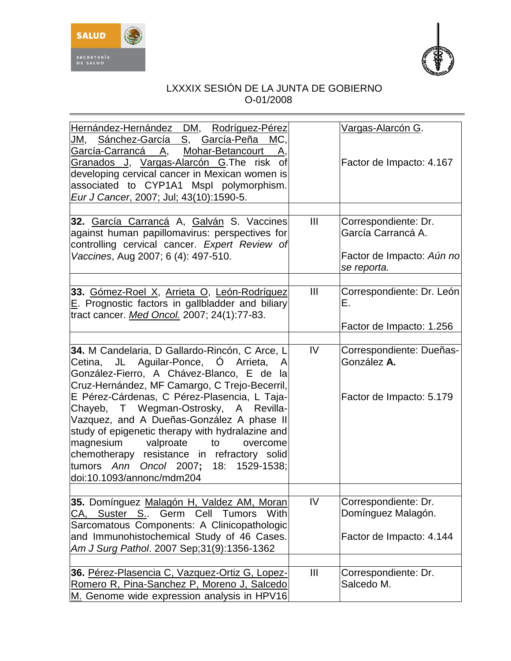



| Hernández-Hernández DM, Rodríguez-Pérez<br>Sánchez-García S, García-Peña MC,<br>JM,<br>Mohar-Betancourt<br><u> García-Carrancá A,</u><br>Α.<br>Granados J, Vargas-Alarcón G. The risk of<br>developing cervical cancer in Mexican women is<br>associated to CYP1A1 Mspl polymorphism.<br>Eur J Cancer, 2007; Jul; 43(10):1590-5.                                                                                                                                                                                                                                   |                | Vargas-Alarcón G.<br>Factor de Impacto: 4.167                                          |
|--------------------------------------------------------------------------------------------------------------------------------------------------------------------------------------------------------------------------------------------------------------------------------------------------------------------------------------------------------------------------------------------------------------------------------------------------------------------------------------------------------------------------------------------------------------------|----------------|----------------------------------------------------------------------------------------|
| 32. García Carrancá A, Galván S. Vaccines<br>against human papillomavirus: perspectives for<br>controlling cervical cancer. Expert Review of<br>Vaccines, Aug 2007; 6 (4): 497-510.                                                                                                                                                                                                                                                                                                                                                                                | $\mathbf{III}$ | Correspondiente: Dr.<br>García Carrancá A.<br>Factor de Impacto: Aún no<br>se reporta. |
| 33. Gómez-Roel X, Arrieta O, León-Rodríguez<br>E. Prognostic factors in gallbladder and biliary<br>tract cancer. Med Oncol. 2007; 24(1):77-83.                                                                                                                                                                                                                                                                                                                                                                                                                     | $\mathbf{III}$ | Correspondiente: Dr. León<br>Е.<br>Factor de Impacto: 1.256                            |
| 34. M Candelaria, D Gallardo-Rincón, C Arce, L<br>Cetina, JL Aguilar-Ponce, O<br>Arrieta,<br>$\mathsf{A}$<br>González-Fierro, A Chávez-Blanco, E de la<br>Cruz-Hernández, MF Camargo, C Trejo-Becerril,<br>E Pérez-Cárdenas, C Pérez-Plasencia, L Taja-<br>Chayeb, T Wegman-Ostrosky, A Revilla-<br>Vazquez, and A Dueñas-González A phase II<br>study of epigenetic therapy with hydralazine and<br>magnesium valproate<br>to<br>overcome<br>chemotherapy resistance in refractory solid<br>tumors Ann<br>Oncol 2007; 18: 1529-1538;<br>doi:10.1093/annonc/mdm204 | IV             | Correspondiente: Dueñas-<br>González A.<br>Factor de Impacto: 5.179                    |
| 35. Domínguez Malagón H, Valdez AM, Moran<br>CA, Suster S Germ Cell Tumors<br>With<br>Sarcomatous Components: A Clinicopathologic<br>and Immunohistochemical Study of 46 Cases.<br>Am J Surg Pathol. 2007 Sep; 31(9): 1356-1362                                                                                                                                                                                                                                                                                                                                    | IV             | Correspondiente: Dr.<br>Domínguez Malagón.<br>Factor de Impacto: 4.144                 |
| 36. Pérez-Plasencia C, Vazquez-Ortiz G, Lopez-<br>Romero R, Pina-Sanchez P, Moreno J, Salcedo<br>M. Genome wide expression analysis in HPV16                                                                                                                                                                                                                                                                                                                                                                                                                       | $\mathbf{III}$ | Correspondiente: Dr.<br>Salcedo M.                                                     |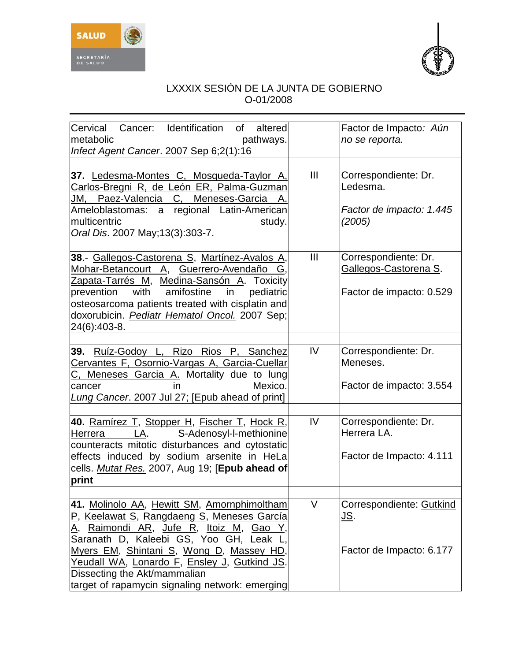



| Cervical Cancer: Identification of<br>altered<br>metabolic<br>pathways.<br>Infect Agent Cancer. 2007 Sep 6;2(1):16                                                                                                                                                                                                                                                 |        | Factor de Impacto: Aún<br>no se reporta.                                  |
|--------------------------------------------------------------------------------------------------------------------------------------------------------------------------------------------------------------------------------------------------------------------------------------------------------------------------------------------------------------------|--------|---------------------------------------------------------------------------|
| 37. Ledesma-Montes C, Mosqueda-Taylor A,<br><u> Carlos-Bregni R, de León ER, Palma-Guzman</u><br><u>JM, Paez-Valencia C,</u><br>Meneses-Garcia<br>A.<br>a regional Latin-American<br>Ameloblastomas:<br>multicentric<br>study.<br>Oral Dis. 2007 May; 13(3): 303-7.                                                                                                | III    | Correspondiente: Dr.<br>Ledesma.<br>Factor de impacto: 1.445<br>(2005)    |
| 38.- Gallegos-Castorena S, Martínez-Avalos A,<br>Mohar-Betancourt A, Guerrero-Avendaño<br>Zapata-Tarrés M, Medina-Sansón A. Toxicity<br>amifostine<br>prevention<br>with<br>pediatric<br>in<br>osteosarcoma patients treated with cisplatin and<br>doxorubicin. <i>Pediatr Hematol Oncol.</i> 2007 Sep;<br>24(6):403-8.                                            | Ш      | Correspondiente: Dr.<br>Gallegos-Castorena S.<br>Factor de impacto: 0.529 |
| 39. Ruíz-Godoy L,<br>Rizo<br>Rios<br>P. Sanchez<br>Cervantes F, Osornio-Vargas A, Garcia-Cuellar<br>C, Meneses Garcia A. Mortality due to lung<br>Mexico.<br>in<br>cancer<br>Lung Cancer. 2007 Jul 27; [Epub ahead of print]                                                                                                                                       | IV     | Correspondiente: Dr.<br>Meneses.<br>Factor de impacto: 3.554              |
| 40. Ramírez T, Stopper H, Fischer T, Hock R,<br>S-Adenosyl-l-methionine<br>Herrera<br>LA.<br>counteracts mitotic disturbances and cytostatic<br>effects induced by sodium arsenite in HeLa<br>cells. Mutat Res. 2007, Aug 19; [Epub ahead of<br>print                                                                                                              | IV     | Correspondiente: Dr.<br>Herrera LA.<br>Factor de Impacto: 4.111           |
| 41. Molinolo AA, Hewitt SM, Amornphimoltham<br>P, Keelawat S, Rangdaeng S, Meneses García<br>Raimondi AR, Jufe R, Itoiz M, Gao<br><u>A,</u><br>Saranath D, Kaleebi GS, Yoo GH, Leak<br>Myers EM, Shintani S, Wong D, Massey HD,<br>Yeudall WA, Lonardo F, Ensley J, Gutkind JS.<br>Dissecting the Akt/mammalian<br>target of rapamycin signaling network: emerging | $\vee$ | Correspondiente: Gutkind<br><u>JS.</u><br>Factor de Impacto: 6.177        |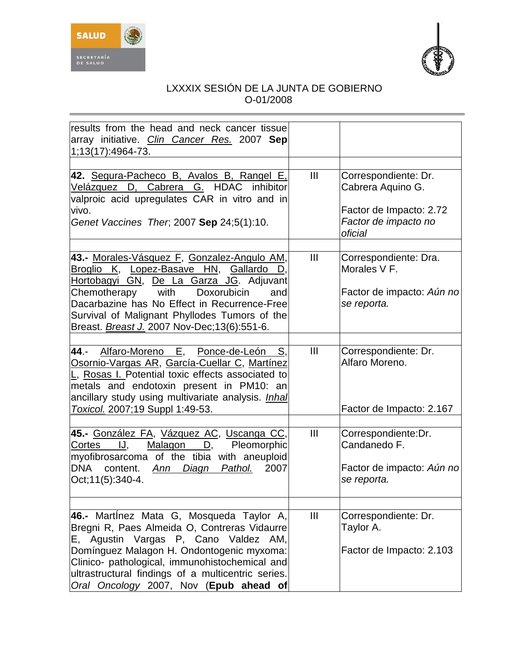



| results from the head and neck cancer tissue<br>array initiative. Clin Cancer Res. 2007 Sep<br>1;13(17):4964-73.                                                                                                                                                                                                                            |                |                                                                                                         |
|---------------------------------------------------------------------------------------------------------------------------------------------------------------------------------------------------------------------------------------------------------------------------------------------------------------------------------------------|----------------|---------------------------------------------------------------------------------------------------------|
| 42. Segura-Pacheco B, Avalos B, Rangel E,<br>Velázquez D, Cabrera G. HDAC<br>inhibitor<br>valproic acid upregulates CAR in vitro and in<br>vivo.<br>Genet Vaccines Ther, 2007 Sep 24;5(1):10.                                                                                                                                               | III            | Correspondiente: Dr.<br>Cabrera Aquino G.<br>Factor de Impacto: 2.72<br>Factor de impacto no<br>oficial |
| 43.- Morales-Vásquez F, Gonzalez-Angulo AM,<br>Broglio K, Lopez-Basave HN, Gallardo<br>D.<br>Hortobagyi GN, De La Garza JG. Adjuvant<br>Chemotherapy<br>with<br>Doxorubicin<br>and<br>Dacarbazine has No Effect in Recurrence-Free<br>Survival of Malignant Phyllodes Tumors of the<br>Breast. <b>Breast J.</b> 2007 Nov-Dec; 13(6): 551-6. | III            | Correspondiente: Dra.<br>Morales V F.<br>Factor de impacto: Aún no<br>se reporta.                       |
| Alfaro-Moreno E, Ponce-de-León<br>44.-<br>S,<br><u> Osornio-Vargas AR, García-Cuellar C, Martínez</u><br>L, Rosas I. Potential toxic effects associated to<br>metals and endotoxin present in PM10: an<br>ancillary study using multivariate analysis. <i>Inhal</i><br>Toxicol. 2007;19 Suppl 1:49-53.                                      | III            | Correspondiente: Dr.<br>Alfaro Moreno.<br>Factor de Impacto: 2.167                                      |
| 45.- González FA, Vázquez AC, Uscanga CC,<br>Cortes<br>IJ,<br>Malagon<br>D,<br>Pleomorphic<br>myofibrosarcoma of the tibia with aneuploid<br>DNA<br>2007<br>content. Ann Diagn Pathol.<br>Oct; 11(5): 340-4.                                                                                                                                | III            | Correspondiente:Dr.<br>Candanedo F.<br>Factor de impacto: Aún no<br>se reporta.                         |
| 46.- Martinez Mata G, Mosqueda Taylor A,<br>Bregni R, Paes Almeida O, Contreras Vidaurre<br>E, Agustin Vargas P, Cano Valdez AM,<br>Domínguez Malagon H. Ondontogenic myxoma:<br>Clinico- pathological, immunohistochemical and<br>ultrastructural findings of a multicentric series.<br>Oral Oncology 2007, Nov (Epub ahead of             | $\mathbf{III}$ | Correspondiente: Dr.<br>Taylor A.<br>Factor de Impacto: 2.103                                           |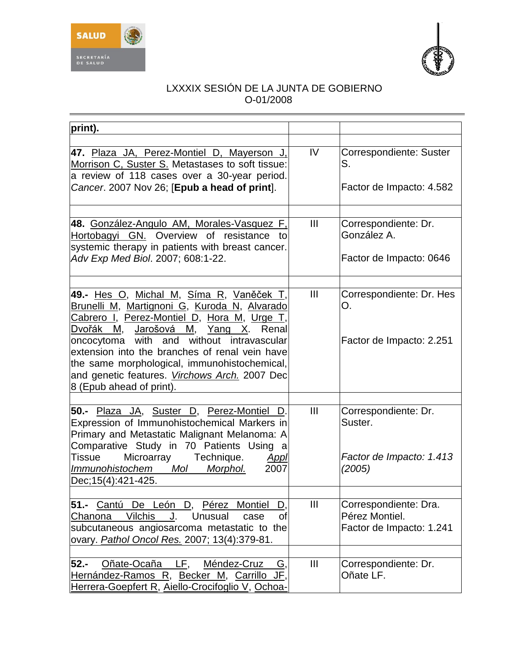



| print).                                                                                                                                                                                                                                                                                                                                                                                                                   |                |                                                                       |
|---------------------------------------------------------------------------------------------------------------------------------------------------------------------------------------------------------------------------------------------------------------------------------------------------------------------------------------------------------------------------------------------------------------------------|----------------|-----------------------------------------------------------------------|
| 47. Plaza JA, Perez-Montiel D, Mayerson J,<br>Morrison C, Suster S. Metastases to soft tissue:<br>a review of 118 cases over a 30-year period.<br>Cancer. 2007 Nov 26; [Epub a head of print].                                                                                                                                                                                                                            | IV             | Correspondiente: Suster<br>S.<br>Factor de Impacto: 4.582             |
| 48. González-Angulo AM, Morales-Vasquez F,<br>Hortobagyi GN. Overview of resistance<br>to<br>systemic therapy in patients with breast cancer.<br>Adv Exp Med Biol. 2007; 608:1-22.                                                                                                                                                                                                                                        | III            | Correspondiente: Dr.<br>González A.<br>Factor de Impacto: 0646        |
| 49.- Hes O, Michal M, Síma R, Vaněček T,<br>Brunelli M, Martignoni G, Kuroda N, Alvarado<br>Cabrero I, Perez-Montiel D, Hora M, Urge T,<br>Dvořák<br>Jarošová M,<br>Yang<br>М,<br>Х.<br>Renal<br>oncocytoma with and without intravascular<br>extension into the branches of renal vein have<br>the same morphological, immunohistochemical,<br>and genetic features. Virchows Arch. 2007 Dec<br>8 (Epub ahead of print). | III            | Correspondiente: Dr. Hes<br>O.<br>Factor de Impacto: 2.251            |
| 50.- Plaza JA, Suster D, Perez-Montiel<br>D.<br>Expression of Immunohistochemical Markers in<br>Primary and Metastatic Malignant Melanoma: A<br>Comparative Study in 70 Patients Using a<br>Microarray Technique.<br>Tissue<br>Appl<br>Mol<br>Immunohistochem<br>2007<br>Morphol.<br>Dec: 15(4): 421-425.                                                                                                                 | $\mathbf{III}$ | Correspondiente: Dr.<br>Suster.<br>Factor de Impacto: 1.413<br>(2005) |
| Cantú De León D, Pérez<br>$51 -$<br>Montiel<br>D,<br><b>Vilchis</b><br>Unusual<br>Chanona<br>J.<br>of<br>case<br>subcutaneous angiosarcoma metastatic to the<br>ovary. Pathol Oncol Res. 2007; 13(4):379-81.                                                                                                                                                                                                              | $\mathbf{III}$ | Correspondiente: Dra.<br>Pérez Montiel.<br>Factor de Impacto: 1.241   |
| Oñate-Ocaña<br>LF,<br>$52 -$<br>Méndez-Cruz<br><u>G,</u><br>Hernández-Ramos R, Becker M, Carrillo<br>JF.<br>Herrera-Goepfert R, Aiello-Crocifoglio V, Ochoa-                                                                                                                                                                                                                                                              | $\mathbf{III}$ | Correspondiente: Dr.<br>Oñate LF.                                     |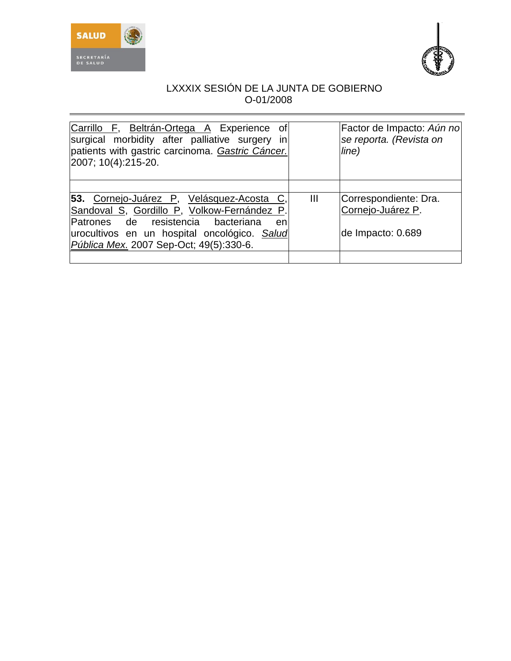



| Carrillo F, Beltrán-Ortega A Experience of<br>surgical morbidity after palliative surgery in<br>patients with gastric carcinoma. Gastric Cáncer.<br>2007; 10(4):215-20.                                                         |                | Factor de Impacto: Aún no<br>se reporta. (Revista on<br>line)   |
|---------------------------------------------------------------------------------------------------------------------------------------------------------------------------------------------------------------------------------|----------------|-----------------------------------------------------------------|
| 53. Cornejo-Juárez P, Velásquez-Acosta C,<br>Sandoval S, Gordillo P, Volkow-Fernández P.<br>Patrones de resistencia bacteriana<br>en<br>urocultivos en un hospital oncológico. Salud<br>Pública Mex. 2007 Sep-Oct; 49(5):330-6. | $\mathbf{III}$ | Correspondiente: Dra.<br>Cornejo-Juárez P.<br>de Impacto: 0.689 |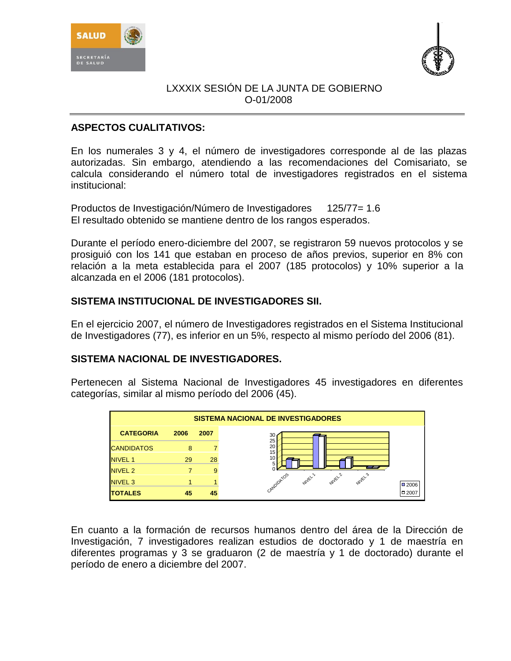



## **ASPECTOS CUALITATIVOS:**

En los numerales 3 y 4, el número de investigadores corresponde al de las plazas autorizadas. Sin embargo, atendiendo a las recomendaciones del Comisariato, se calcula considerando el número total de investigadores registrados en el sistema institucional:

Productos de Investigación/Número de Investigadores 125/77= 1.6 El resultado obtenido se mantiene dentro de los rangos esperados.

Durante el período enero-diciembre del 2007, se registraron 59 nuevos protocolos y se prosiguió con los 141 que estaban en proceso de años previos, superior en 8% con relación a la meta establecida para el 2007 (185 protocolos) y 10% superior a la alcanzada en el 2006 (181 protocolos).

## **SISTEMA INSTITUCIONAL DE INVESTIGADORES SII.**

En el ejercicio 2007, el número de Investigadores registrados en el Sistema Institucional de Investigadores (77), es inferior en un 5%, respecto al mismo período del 2006 (81).

## **SISTEMA NACIONAL DE INVESTIGADORES.**

Pertenecen al Sistema Nacional de Investigadores 45 investigadores en diferentes categorías, similar al mismo período del 2006 (45).



En cuanto a la formación de recursos humanos dentro del área de la Dirección de Investigación, 7 investigadores realizan estudios de doctorado y 1 de maestría en diferentes programas y 3 se graduaron (2 de maestría y 1 de doctorado) durante el período de enero a diciembre del 2007.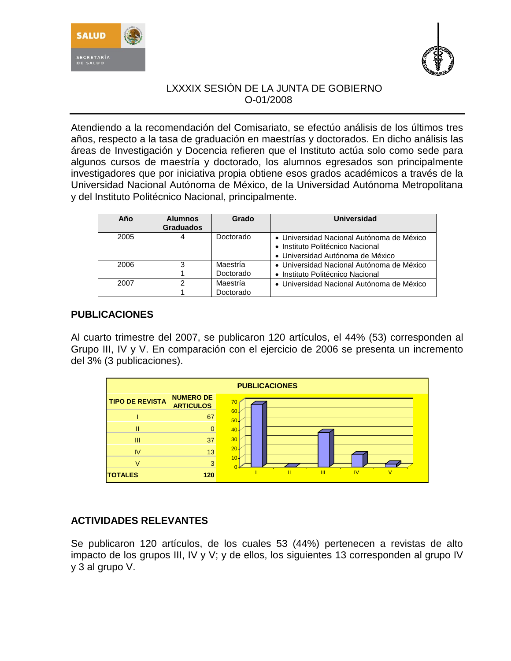



Atendiendo a la recomendación del Comisariato, se efectúo análisis de los últimos tres años, respecto a la tasa de graduación en maestrías y doctorados. En dicho análisis las áreas de Investigación y Docencia refieren que el Instituto actúa solo como sede para algunos cursos de maestría y doctorado, los alumnos egresados son principalmente investigadores que por iniciativa propia obtiene esos grados académicos a través de la Universidad Nacional Autónoma de México, de la Universidad Autónoma Metropolitana y del Instituto Politécnico Nacional, principalmente.

| Año  | <b>Alumnos</b><br><b>Graduados</b> | Grado     | Universidad                                                                                                       |
|------|------------------------------------|-----------|-------------------------------------------------------------------------------------------------------------------|
| 2005 | 4                                  | Doctorado | • Universidad Nacional Autónoma de México<br>• Instituto Politécnico Nacional<br>• Universidad Autónoma de México |
| 2006 | 3                                  | Maestría  | • Universidad Nacional Autónoma de México                                                                         |
|      |                                    | Doctorado | • Instituto Politécnico Nacional                                                                                  |
| 2007 | ົ                                  | Maestría  | • Universidad Nacional Autónoma de México                                                                         |
|      |                                    | Doctorado |                                                                                                                   |

# **PUBLICACIONES**

Al cuarto trimestre del 2007, se publicaron 120 artículos, el 44% (53) corresponden al Grupo III, IV y V. En comparación con el ejercicio de 2006 se presenta un incremento del 3% (3 publicaciones).



# **ACTIVIDADES RELEVANTES**

Se publicaron 120 artículos, de los cuales 53 (44%) pertenecen a revistas de alto impacto de los grupos III, IV y V; y de ellos, los siguientes 13 corresponden al grupo IV y 3 al grupo V.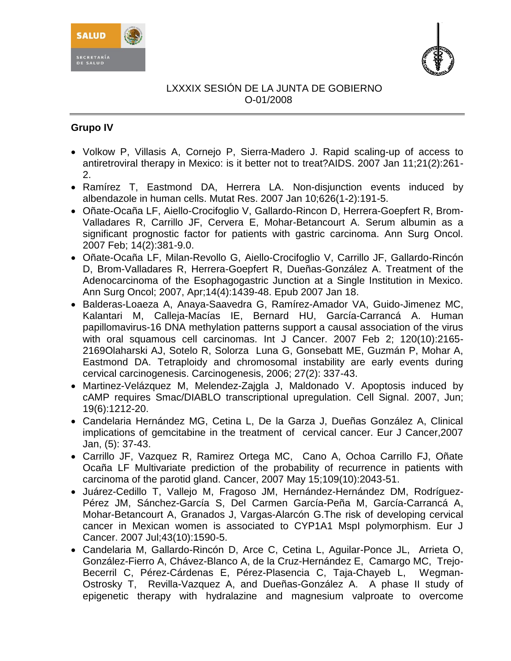



# **Grupo IV**

- [Volkow P, Villasis A, Cornejo P, Sierra-Madero J.](http://www.ncbi.nlm.nih.gov/entrez/query.fcgi?db=pubmed&cmd=Retrieve&dopt=AbstractPlus&list_uids=17197827&query_hl=7&itool=pubmed_docsum) Rapid scaling-up of access to antiretroviral therapy in Mexico: is it better not to treat?AIDS. 2007 Jan 11;21(2):261- 2.
- [Ramírez T, Eastmond DA, Herrera LA.](http://www.ncbi.nlm.nih.gov/entrez/query.fcgi?db=pubmed&cmd=Retrieve&dopt=AbstractPlus&list_uids=17055335&query_hl=1&itool=pubmed_docsum) Non-disjunction events induced by albendazole in human cells. Mutat Res. 2007 Jan 10;626(1-2):191-5.
- [Oñate-Ocaña LF, Aiello-Crocifoglio V, Gallardo-Rincon D, Herrera-Goepfert R, Brom-](http://www.ncbi.nlm.nih.gov/entrez/query.fcgi?db=pubmed&cmd=Retrieve&dopt=AbstractPlus&list_uids=17160496&query_hl=27&itool=pubmed_docsum)[Valladares R, Carrillo JF, Cervera E, Mohar-Betancourt A.](http://www.ncbi.nlm.nih.gov/entrez/query.fcgi?db=pubmed&cmd=Retrieve&dopt=AbstractPlus&list_uids=17160496&query_hl=27&itool=pubmed_docsum) Serum albumin as a significant prognostic factor for patients with gastric carcinoma. Ann Surg Oncol. 2007 Feb; 14(2):381-9.0.
- [Oñate-Ocaña LF, Milan-Revollo G, Aiello-Crocifoglio V, Carrillo JF, Gallardo-Rincón](http://www.ncbi.nlm.nih.gov/entrez/query.fcgi?db=pubmed&cmd=Retrieve&dopt=AbstractPlus&list_uids=17235713&query_hl=8&itool=pubmed_docsum)  [D, Brom-Valladares R, Herrera-Goepfert R, Dueñas-González A.](http://www.ncbi.nlm.nih.gov/entrez/query.fcgi?db=pubmed&cmd=Retrieve&dopt=AbstractPlus&list_uids=17235713&query_hl=8&itool=pubmed_docsum) Treatment of the Adenocarcinoma of the Esophagogastric Junction at a Single Institution in Mexico. Ann Surg Oncol; 2007, Apr;14(4):1439-48. Epub 2007 Jan 18.
- [Balderas-Loaeza A,](http://www.ncbi.nlm.nih.gov/entrez/query.fcgi?db=pubmed&cmd=Search&itool=pubmed_AbstractPlus&term=%22Balderas%2DLoaeza+A%22%5BAuthor%5D) [Anaya-Saavedra G,](http://www.ncbi.nlm.nih.gov/entrez/query.fcgi?db=pubmed&cmd=Search&itool=pubmed_AbstractPlus&term=%22Anaya%2DSaavedra+G%22%5BAuthor%5D) [Ramírez-Amador VA,](http://www.ncbi.nlm.nih.gov/entrez/query.fcgi?db=pubmed&cmd=Search&itool=pubmed_AbstractPlus&term=%22Ramirez%2DAmador+VA%22%5BAuthor%5D) [Guido-Jimenez MC,](http://www.ncbi.nlm.nih.gov/entrez/query.fcgi?db=pubmed&cmd=Search&itool=pubmed_AbstractPlus&term=%22Guido%2DJimenez+MC%22%5BAuthor%5D) [Kalantari M,](http://www.ncbi.nlm.nih.gov/entrez/query.fcgi?db=pubmed&cmd=Search&itool=pubmed_AbstractPlus&term=%22Kalantari+M%22%5BAuthor%5D) [Calleja-Macías IE,](http://www.ncbi.nlm.nih.gov/entrez/query.fcgi?db=pubmed&cmd=Search&itool=pubmed_AbstractPlus&term=%22Calleja%2DMacias+IE%22%5BAuthor%5D) [Bernard HU,](http://www.ncbi.nlm.nih.gov/entrez/query.fcgi?db=pubmed&cmd=Search&itool=pubmed_AbstractPlus&term=%22Bernard+HU%22%5BAuthor%5D) [García-Carrancá A.](http://www.ncbi.nlm.nih.gov/entrez/query.fcgi?db=pubmed&cmd=Search&itool=pubmed_AbstractPlus&term=%22Garcia%2DCarranca+A%22%5BAuthor%5D) Human papillomavirus-16 DNA methylation patterns support a causal association of the virus with oral squamous cell carcinomas. [Int J Cancer.](javascript:AL_get(this,%20) 2007 Feb 2; 120(10):2165-2169Olaharski AJ, Sotelo R, Solorza Luna G, Gonsebatt ME, Guzmán P, Mohar A, Eastmond DA. Tetraploidy and chromosomal instability are early events during cervical carcinogenesis. Carcinogenesis, 2006; 27(2): 337-43.
- [Martinez-Velázquez M,](http://www.ncbi.nlm.nih.gov/entrez/query.fcgi?db=pubmed&cmd=Search&itool=pubmed_AbstractPlus&term=%22Martinez%2DVelazquez+M%22%5BAuthor%5D) [Melendez-Zajgla J,](http://www.ncbi.nlm.nih.gov/entrez/query.fcgi?db=pubmed&cmd=Search&itool=pubmed_AbstractPlus&term=%22Melendez%2DZajgla+J%22%5BAuthor%5D) [Maldonado V.](http://www.ncbi.nlm.nih.gov/entrez/query.fcgi?db=pubmed&cmd=Search&itool=pubmed_AbstractPlus&term=%22Maldonado+V%22%5BAuthor%5D) Apoptosis induced by cAMP requires Smac/DIABLO transcriptional upregulation. [Cell Signal.](javascript:AL_get(this,%20) 2007, Jun; 19(6):1212-20.
- Candelaria Hernández MG, Cetina L, De la Garza J, Dueñas González A, Clinical implications of gemcitabine in the treatment of cervical cancer. Eur J Cancer,2007 Jan, (5): 37-43.
- Carrillo JF, Vazquez R, Ramirez Ortega MC, Cano A, Ochoa Carrillo FJ, Oñate Ocaña LF Multivariate prediction of the probability of recurrence in patients with carcinoma of the parotid gland. Cancer, 2007 May 15;109(10):2043-51.
- [Juárez-Cedillo T,](http://www.ncbi.nlm.nih.gov/sites/entrez?Db=pubmed&Cmd=Search&Term=%22Ju%C3%A1rez-Cedillo%20T%22%5BAuthor%5D&itool=EntrezSystem2.PEntrez.Pubmed.Pubmed_ResultsPanel.Pubmed_RVAbstractPlus) [Vallejo M,](http://www.ncbi.nlm.nih.gov/sites/entrez?Db=pubmed&Cmd=Search&Term=%22Vallejo%20M%22%5BAuthor%5D&itool=EntrezSystem2.PEntrez.Pubmed.Pubmed_ResultsPanel.Pubmed_RVAbstractPlus) [Fragoso](http://www.ncbi.nlm.nih.gov/sites/entrez?Db=pubmed&Cmd=Search&Term=%22Fragoso%20JM%22%5BAuthor%5D&itool=EntrezSystem2.PEntrez.Pubmed.Pubmed_ResultsPanel.Pubmed_RVAbstractPlus) JM, [Hernández-Hernández DM,](http://www.ncbi.nlm.nih.gov/sites/entrez?Db=pubmed&Cmd=Search&Term=%22Hern%C3%A1ndez-Hern%C3%A1ndez%20DM%22%5BAuthor%5D&itool=EntrezSystem2.PEntrez.Pubmed.Pubmed_ResultsPanel.Pubmed_RVAbstractPlus) [Rodríguez-](http://www.ncbi.nlm.nih.gov/sites/entrez?Db=pubmed&Cmd=Search&Term=%22Rodr%C3%ADguez-P%C3%A9rez%20JM%22%5BAuthor%5D&itool=EntrezSystem2.PEntrez.Pubmed.Pubmed_ResultsPanel.Pubmed_RVAbstractPlus)[Pérez JM,](http://www.ncbi.nlm.nih.gov/sites/entrez?Db=pubmed&Cmd=Search&Term=%22Rodr%C3%ADguez-P%C3%A9rez%20JM%22%5BAuthor%5D&itool=EntrezSystem2.PEntrez.Pubmed.Pubmed_ResultsPanel.Pubmed_RVAbstractPlus) [Sánchez-García S,](http://www.ncbi.nlm.nih.gov/sites/entrez?Db=pubmed&Cmd=Search&Term=%22S%C3%A1nchez-Garc%C3%ADa%20S%22%5BAuthor%5D&itool=EntrezSystem2.PEntrez.Pubmed.Pubmed_ResultsPanel.Pubmed_RVAbstractPlus) [Del Carmen García-Peña M,](http://www.ncbi.nlm.nih.gov/sites/entrez?Db=pubmed&Cmd=Search&Term=%22Del%20Carmen%20Garc%C3%ADa-Pe%C3%B1a%20M%22%5BAuthor%5D&itool=EntrezSystem2.PEntrez.Pubmed.Pubmed_ResultsPanel.Pubmed_RVAbstractPlus) [García-Carrancá A,](http://www.ncbi.nlm.nih.gov/sites/entrez?Db=pubmed&Cmd=Search&Term=%22Garc%C3%ADa-Carranc%C3%A1%20A%22%5BAuthor%5D&itool=EntrezSystem2.PEntrez.Pubmed.Pubmed_ResultsPanel.Pubmed_RVAbstractPlus) [Mohar-Betancourt A,](http://www.ncbi.nlm.nih.gov/sites/entrez?Db=pubmed&Cmd=Search&Term=%22Mohar-Betancourt%20A%22%5BAuthor%5D&itool=EntrezSystem2.PEntrez.Pubmed.Pubmed_ResultsPanel.Pubmed_RVAbstractPlus) [Granados J,](http://www.ncbi.nlm.nih.gov/sites/entrez?Db=pubmed&Cmd=Search&Term=%22Granados%20J%22%5BAuthor%5D&itool=EntrezSystem2.PEntrez.Pubmed.Pubmed_ResultsPanel.Pubmed_RVAbstractPlus) [Vargas-Alarcón G.](http://www.ncbi.nlm.nih.gov/sites/entrez?Db=pubmed&Cmd=Search&Term=%22Vargas-Alarc%C3%B3n%20G%22%5BAuthor%5D&itool=EntrezSystem2.PEntrez.Pubmed.Pubmed_ResultsPanel.Pubmed_RVAbstractPlus)The risk of developing cervical cancer in Mexican women is associated to CYP1A1 MspI polymorphism. Eur J Cancer. 2007 Jul;43(10):1590-5.
- Candelaria M, Gallardo-Rincón D, Arce C, Cetina L, Aguilar-Ponce JL, Arrieta O, González-Fierro A, Chávez-Blanco A, de la Cruz-Hernández E, Camargo MC, Trejo-Becerril C, Pérez-Cárdenas E, Pérez-Plasencia C, Taja-Chayeb L, Wegman-Ostrosky T, Revilla-Vazquez A, and Dueñas-González A. A phase II study of epigenetic therapy with hydralazine and magnesium valproate to overcome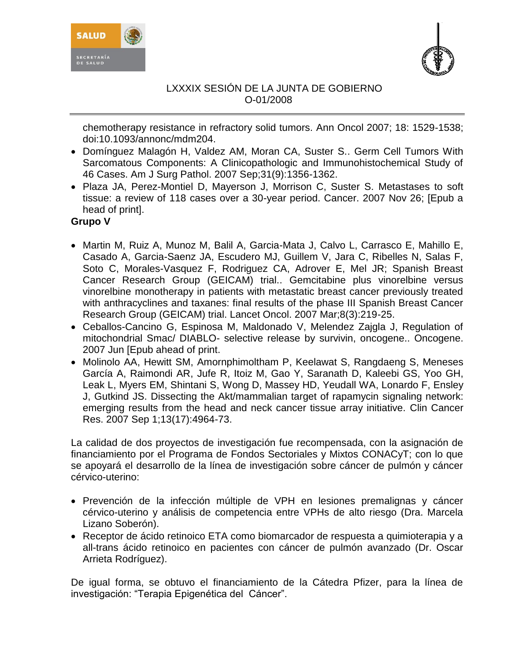



chemotherapy resistance in refractory solid tumors. Ann Oncol 2007; 18: 1529-1538; doi:10.1093/annonc/mdm204.

- Domínguez [Malagón H, Valdez AM, Moran CA, Suster S..](http://www.ncbi.nlm.nih.gov/sites/entrez?Db=pubmed&Cmd=ShowDetailView&TermToSearch=17721191&ordinalpos=1&itool=EntrezSystem2.PEntrez.Pubmed.Pubmed_ResultsPanel.Pubmed_RVDocSum) Germ Cell Tumors With Sarcomatous Components: A Clinicopathologic and Immunohistochemical Study of 46 Cases. Am J Surg Pathol. 2007 Sep;31(9):1356-1362.
- [Plaza JA, Perez-Montiel D, Mayerson J, Morrison C, Suster S.](http://www.ncbi.nlm.nih.gov/sites/entrez?Db=pubmed&Cmd=ShowDetailView&TermToSearch=18040999&ordinalpos=1&itool=EntrezSystem2.PEntrez.Pubmed.Pubmed_ResultsPanel.Pubmed_RVDocSum) Metastases to soft tissue: a review of 118 cases over a 30-year period. Cancer. 2007 Nov 26; [Epub a head of print].

# **Grupo V**

- [Martin M, Ruiz A, Munoz M, Balil A, Garcia-Mata J, Calvo L, Carrasco E, Mahillo E,](http://www.ncbi.nlm.nih.gov/sites/entrez?Db=pubmed&Cmd=ShowDetailView&TermToSearch=17329192&ordinalpos=1&itool=EntrezSystem2.PEntrez.Pubmed.Pubmed_ResultsPanel.Pubmed_RVDocSum)  [Casado A, Garcia-Saenz JA, Escudero MJ, Guillem V, Jara C, Ribelles N, Salas F,](http://www.ncbi.nlm.nih.gov/sites/entrez?Db=pubmed&Cmd=ShowDetailView&TermToSearch=17329192&ordinalpos=1&itool=EntrezSystem2.PEntrez.Pubmed.Pubmed_ResultsPanel.Pubmed_RVDocSum)  [Soto C, Morales-Vasquez F, Rodriguez CA, Adrover E, Mel JR; Spanish Breast](http://www.ncbi.nlm.nih.gov/sites/entrez?Db=pubmed&Cmd=ShowDetailView&TermToSearch=17329192&ordinalpos=1&itool=EntrezSystem2.PEntrez.Pubmed.Pubmed_ResultsPanel.Pubmed_RVDocSum)  [Cancer Research Group \(GEICAM\) trial..](http://www.ncbi.nlm.nih.gov/sites/entrez?Db=pubmed&Cmd=ShowDetailView&TermToSearch=17329192&ordinalpos=1&itool=EntrezSystem2.PEntrez.Pubmed.Pubmed_ResultsPanel.Pubmed_RVDocSum) Gemcitabine plus vinorelbine versus vinorelbine monotherapy in patients with metastatic breast cancer previously treated with anthracyclines and taxanes: final results of the phase III Spanish Breast Cancer Research Group (GEICAM) trial. Lancet Oncol. 2007 Mar;8(3):219-25.
- Ceballos-Cancino G, Espinosa M, Maldonado V, Melendez Zajgla J, Regulation of mitochondrial Smac/ DIABLO- selective release by survivin, oncogene.. [Oncogene.](javascript:AL_get(this,%20) 2007 Jun [Epub ahead of print.
- [Molinolo AA,](http://www.ncbi.nlm.nih.gov/sites/entrez?Db=pubmed&Cmd=Search&Term=%22Molinolo%20AA%22%5BAuthor%5D&itool=EntrezSystem2.PEntrez.Pubmed.Pubmed_ResultsPanel.Pubmed_RVAbstractPlus) [Hewitt SM,](http://www.ncbi.nlm.nih.gov/sites/entrez?Db=pubmed&Cmd=Search&Term=%22Hewitt%20SM%22%5BAuthor%5D&itool=EntrezSystem2.PEntrez.Pubmed.Pubmed_ResultsPanel.Pubmed_RVAbstractPlus) [Amornphimoltham P,](http://www.ncbi.nlm.nih.gov/sites/entrez?Db=pubmed&Cmd=Search&Term=%22Amornphimoltham%20P%22%5BAuthor%5D&itool=EntrezSystem2.PEntrez.Pubmed.Pubmed_ResultsPanel.Pubmed_RVAbstractPlus) [Keelawat S,](http://www.ncbi.nlm.nih.gov/sites/entrez?Db=pubmed&Cmd=Search&Term=%22Keelawat%20S%22%5BAuthor%5D&itool=EntrezSystem2.PEntrez.Pubmed.Pubmed_ResultsPanel.Pubmed_RVAbstractPlus) [Rangdaeng S,](http://www.ncbi.nlm.nih.gov/sites/entrez?Db=pubmed&Cmd=Search&Term=%22Rangdaeng%20S%22%5BAuthor%5D&itool=EntrezSystem2.PEntrez.Pubmed.Pubmed_ResultsPanel.Pubmed_RVAbstractPlus) [Meneses](http://www.ncbi.nlm.nih.gov/sites/entrez?Db=pubmed&Cmd=Search&Term=%22Meneses%20Garc%C3%ADa%20A%22%5BAuthor%5D&itool=EntrezSystem2.PEntrez.Pubmed.Pubmed_ResultsPanel.Pubmed_RVAbstractPlus)  [García A,](http://www.ncbi.nlm.nih.gov/sites/entrez?Db=pubmed&Cmd=Search&Term=%22Meneses%20Garc%C3%ADa%20A%22%5BAuthor%5D&itool=EntrezSystem2.PEntrez.Pubmed.Pubmed_ResultsPanel.Pubmed_RVAbstractPlus) [Raimondi AR,](http://www.ncbi.nlm.nih.gov/sites/entrez?Db=pubmed&Cmd=Search&Term=%22Raimondi%20AR%22%5BAuthor%5D&itool=EntrezSystem2.PEntrez.Pubmed.Pubmed_ResultsPanel.Pubmed_RVAbstractPlus) [Jufe R,](http://www.ncbi.nlm.nih.gov/sites/entrez?Db=pubmed&Cmd=Search&Term=%22Jufe%20R%22%5BAuthor%5D&itool=EntrezSystem2.PEntrez.Pubmed.Pubmed_ResultsPanel.Pubmed_RVAbstractPlus) [Itoiz M,](http://www.ncbi.nlm.nih.gov/sites/entrez?Db=pubmed&Cmd=Search&Term=%22Itoiz%20M%22%5BAuthor%5D&itool=EntrezSystem2.PEntrez.Pubmed.Pubmed_ResultsPanel.Pubmed_RVAbstractPlus) [Gao Y,](http://www.ncbi.nlm.nih.gov/sites/entrez?Db=pubmed&Cmd=Search&Term=%22Gao%20Y%22%5BAuthor%5D&itool=EntrezSystem2.PEntrez.Pubmed.Pubmed_ResultsPanel.Pubmed_RVAbstractPlus) [Saranath D,](http://www.ncbi.nlm.nih.gov/sites/entrez?Db=pubmed&Cmd=Search&Term=%22Saranath%20D%22%5BAuthor%5D&itool=EntrezSystem2.PEntrez.Pubmed.Pubmed_ResultsPanel.Pubmed_RVAbstractPlus) [Kaleebi](http://www.ncbi.nlm.nih.gov/sites/entrez?Db=pubmed&Cmd=Search&Term=%22Kaleebi%20GS%22%5BAuthor%5D&itool=EntrezSystem2.PEntrez.Pubmed.Pubmed_ResultsPanel.Pubmed_RVAbstractPlus) GS, [Yoo GH,](http://www.ncbi.nlm.nih.gov/sites/entrez?Db=pubmed&Cmd=Search&Term=%22Yoo%20GH%22%5BAuthor%5D&itool=EntrezSystem2.PEntrez.Pubmed.Pubmed_ResultsPanel.Pubmed_RVAbstractPlus) [Leak L,](http://www.ncbi.nlm.nih.gov/sites/entrez?Db=pubmed&Cmd=Search&Term=%22Leak%20L%22%5BAuthor%5D&itool=EntrezSystem2.PEntrez.Pubmed.Pubmed_ResultsPanel.Pubmed_RVAbstractPlus) [Myers EM,](http://www.ncbi.nlm.nih.gov/sites/entrez?Db=pubmed&Cmd=Search&Term=%22Myers%20EM%22%5BAuthor%5D&itool=EntrezSystem2.PEntrez.Pubmed.Pubmed_ResultsPanel.Pubmed_RVAbstractPlus) [Shintani S,](http://www.ncbi.nlm.nih.gov/sites/entrez?Db=pubmed&Cmd=Search&Term=%22Shintani%20S%22%5BAuthor%5D&itool=EntrezSystem2.PEntrez.Pubmed.Pubmed_ResultsPanel.Pubmed_RVAbstractPlus) [Wong D,](http://www.ncbi.nlm.nih.gov/sites/entrez?Db=pubmed&Cmd=Search&Term=%22Wong%20D%22%5BAuthor%5D&itool=EntrezSystem2.PEntrez.Pubmed.Pubmed_ResultsPanel.Pubmed_RVAbstractPlus) [Massey HD,](http://www.ncbi.nlm.nih.gov/sites/entrez?Db=pubmed&Cmd=Search&Term=%22Massey%20HD%22%5BAuthor%5D&itool=EntrezSystem2.PEntrez.Pubmed.Pubmed_ResultsPanel.Pubmed_RVAbstractPlus) [Yeudall WA,](http://www.ncbi.nlm.nih.gov/sites/entrez?Db=pubmed&Cmd=Search&Term=%22Yeudall%20WA%22%5BAuthor%5D&itool=EntrezSystem2.PEntrez.Pubmed.Pubmed_ResultsPanel.Pubmed_RVAbstractPlus) [Lonardo F,](http://www.ncbi.nlm.nih.gov/sites/entrez?Db=pubmed&Cmd=Search&Term=%22Lonardo%20F%22%5BAuthor%5D&itool=EntrezSystem2.PEntrez.Pubmed.Pubmed_ResultsPanel.Pubmed_RVAbstractPlus) [Ensley](http://www.ncbi.nlm.nih.gov/sites/entrez?Db=pubmed&Cmd=Search&Term=%22Ensley%20J%22%5BAuthor%5D&itool=EntrezSystem2.PEntrez.Pubmed.Pubmed_ResultsPanel.Pubmed_RVAbstractPlus) [J,](http://www.ncbi.nlm.nih.gov/sites/entrez?Db=pubmed&Cmd=Search&Term=%22Ensley%20J%22%5BAuthor%5D&itool=EntrezSystem2.PEntrez.Pubmed.Pubmed_ResultsPanel.Pubmed_RVAbstractPlus) [Gutkind JS.](http://www.ncbi.nlm.nih.gov/sites/entrez?Db=pubmed&Cmd=Search&Term=%22Gutkind%20JS%22%5BAuthor%5D&itool=EntrezSystem2.PEntrez.Pubmed.Pubmed_ResultsPanel.Pubmed_RVAbstractPlus) Dissecting the Akt/mammalian target of rapamycin signaling network: emerging results from the head and neck cancer tissue array initiative. [Clin Cancer](javascript:AL_get(this,%20)  [Res.](javascript:AL_get(this,%20) 2007 Sep 1;13(17):4964-73.

La calidad de dos proyectos de investigación fue recompensada, con la asignación de financiamiento por el Programa de Fondos Sectoriales y Mixtos CONACyT; con lo que se apoyará el desarrollo de la línea de investigación sobre cáncer de pulmón y cáncer cérvico-uterino:

- Prevención de la infección múltiple de VPH en lesiones premalignas y cáncer cérvico-uterino y análisis de competencia entre VPHs de alto riesgo (Dra. Marcela Lizano Soberón).
- Receptor de ácido retinoico ETA como biomarcador de respuesta a quimioterapia y a all-trans ácido retinoico en pacientes con cáncer de pulmón avanzado (Dr. Oscar Arrieta Rodríguez).

De igual forma, se obtuvo el financiamiento de la Cátedra Pfizer, para la línea de investigación: "Terapia Epigenética del Cáncer".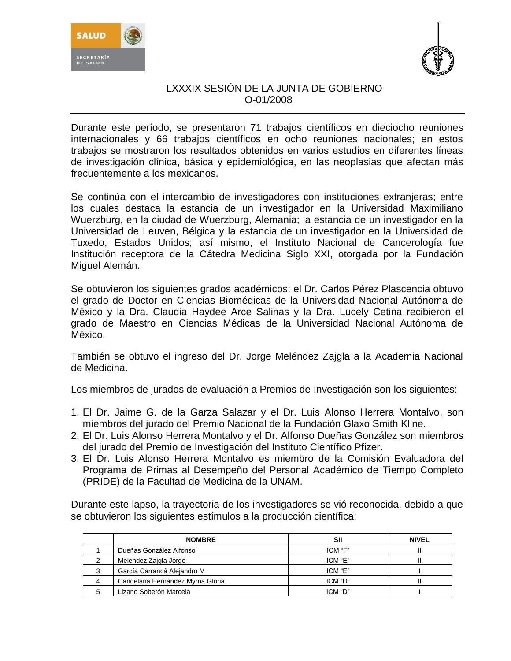



Durante este período, se presentaron 71 trabajos científicos en dieciocho reuniones internacionales y 66 trabajos científicos en ocho reuniones nacionales; en estos trabajos se mostraron los resultados obtenidos en varios estudios en diferentes líneas de investigación clínica, básica y epidemiológica, en las neoplasias que afectan más frecuentemente a los mexicanos.

Se continúa con el intercambio de investigadores con instituciones extranjeras; entre los cuales destaca la estancia de un investigador en la Universidad Maximiliano Wuerzburg, en la ciudad de Wuerzburg, Alemania; la estancia de un investigador en la Universidad de Leuven, Bélgica y la estancia de un investigador en la Universidad de Tuxedo, Estados Unidos; así mismo, el Instituto Nacional de Cancerología fue Institución receptora de la Cátedra Medicina Siglo XXI, otorgada por la Fundación Miguel Alemán.

Se obtuvieron los siguientes grados académicos: el Dr. Carlos Pérez Plascencia obtuvo el grado de Doctor en Ciencias Biomédicas de la Universidad Nacional Autónoma de México y la Dra. Claudia Haydee Arce Salinas y la Dra. Lucely Cetina recibieron el grado de Maestro en Ciencias Médicas de la Universidad Nacional Autónoma de México.

También se obtuvo el ingreso del Dr. Jorge Meléndez Zajgla a la Academia Nacional de Medicina.

Los miembros de jurados de evaluación a Premios de Investigación son los siguientes:

- 1. El Dr. Jaime G. de la Garza Salazar y el Dr. Luis Alonso Herrera Montalvo, son miembros del jurado del Premio Nacional de la Fundación Glaxo Smith Kline.
- 2. El Dr. Luis Alonso Herrera Montalvo y el Dr. Alfonso Dueñas González son miembros del jurado del Premio de Investigación del Instituto Científico Pfizer.
- 3. El Dr. Luis Alonso Herrera Montalvo es miembro de la Comisión Evaluadora del Programa de Primas al Desempeño del Personal Académico de Tiempo Completo (PRIDE) de la Facultad de Medicina de la UNAM.

Durante este lapso, la trayectoria de los investigadores se vió reconocida, debido a que se obtuvieron los siguientes estímulos a la producción científica:

| <b>NOMBRE</b>                     | SII     | <b>NIVEL</b> |
|-----------------------------------|---------|--------------|
| Dueñas González Alfonso           | ICM "F" |              |
| Melendez Zajgla Jorge             | ICM "E" |              |
| García Carrancá Alejandro M       | ICM "E" |              |
| Candelaria Hernández Myrna Gloria | ICM "D" |              |
| Lizano Soberón Marcela            | ICM "D" |              |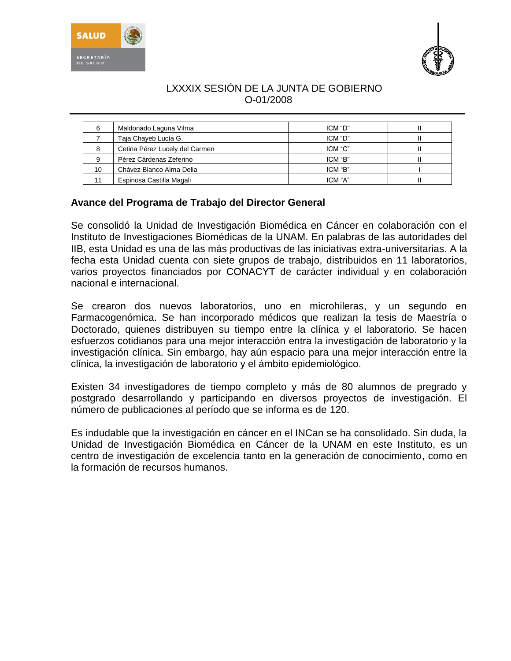



|    | Maldonado Laguna Vilma         | ICM "D" |  |
|----|--------------------------------|---------|--|
|    | Taja Chayeb Lucía G.           | ICM "D" |  |
|    | Cetina Pérez Lucely del Carmen | ICM "C" |  |
|    | Pérez Cárdenas Zeferino        | ICM "B" |  |
| 10 | Chávez Blanco Alma Delia       | ICM "B" |  |
|    | Espinosa Castilla Magali       | ICM "A" |  |

# **Avance del Programa de Trabajo del Director General**

Se consolidó la Unidad de Investigación Biomédica en Cáncer en colaboración con el Instituto de Investigaciones Biomédicas de la UNAM. En palabras de las autoridades del IIB, esta Unidad es una de las más productivas de las iniciativas extra-universitarias. A la fecha esta Unidad cuenta con siete grupos de trabajo, distribuidos en 11 laboratorios, varios proyectos financiados por CONACYT de carácter individual y en colaboración nacional e internacional.

Se crearon dos nuevos laboratorios, uno en microhileras, y un segundo en Farmacogenómica. Se han incorporado médicos que realizan la tesis de Maestría o Doctorado, quienes distribuyen su tiempo entre la clínica y el laboratorio. Se hacen esfuerzos cotidianos para una mejor interacción entra la investigación de laboratorio y la investigación clínica. Sin embargo, hay aún espacio para una mejor interacción entre la clínica, la investigación de laboratorio y el ámbito epidemiológico.

Existen 34 investigadores de tiempo completo y más de 80 alumnos de pregrado y postgrado desarrollando y participando en diversos proyectos de investigación. El número de publicaciones al período que se informa es de 120.

Es indudable que la investigación en cáncer en el INCan se ha consolidado. Sin duda, la Unidad de Investigación Biomédica en Cáncer de la UNAM en este Instituto, es un centro de investigación de excelencia tanto en la generación de conocimiento, como en la formación de recursos humanos.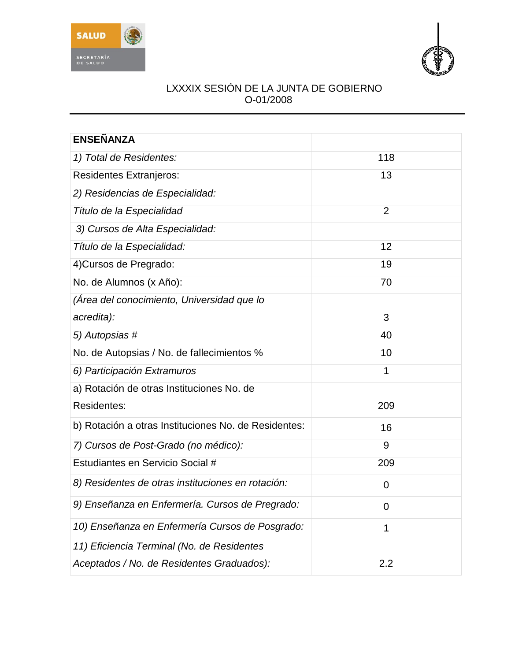



| <b>ENSEÑANZA</b>                                     |                |
|------------------------------------------------------|----------------|
| 1) Total de Residentes:                              | 118            |
| <b>Residentes Extranjeros:</b>                       | 13             |
| 2) Residencias de Especialidad:                      |                |
| Título de la Especialidad                            | $\overline{2}$ |
| 3) Cursos de Alta Especialidad:                      |                |
| Título de la Especialidad:                           | 12             |
| 4) Cursos de Pregrado:                               | 19             |
| No. de Alumnos (x Año):                              | 70             |
| (Área del conocimiento, Universidad que lo           |                |
| acredita):                                           | 3              |
| 5) Autopsias #                                       | 40             |
| No. de Autopsias / No. de fallecimientos %           | 10             |
| 6) Participación Extramuros                          | 1              |
| a) Rotación de otras Instituciones No. de            |                |
| Residentes:                                          | 209            |
| b) Rotación a otras Instituciones No. de Residentes: | 16             |
| 7) Cursos de Post-Grado (no médico):                 | 9              |
| Estudiantes en Servicio Social #                     | 209            |
| 8) Residentes de otras instituciones en rotación:    | 0              |
| 9) Enseñanza en Enfermería. Cursos de Pregrado:      | 0              |
| 10) Enseñanza en Enfermería Cursos de Posgrado:      | $\mathbf 1$    |
| 11) Eficiencia Terminal (No. de Residentes           |                |
| Aceptados / No. de Residentes Graduados):            | 2.2            |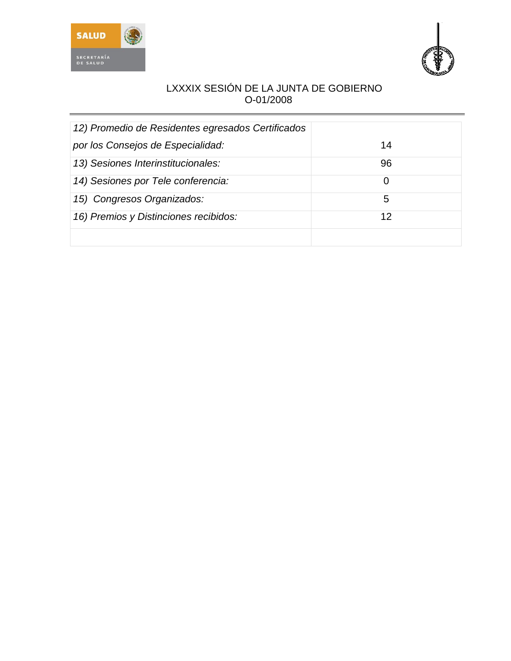



| 12) Promedio de Residentes egresados Certificados |    |
|---------------------------------------------------|----|
| por los Consejos de Especialidad:                 | 14 |
| 13) Sesiones Interinstitucionales:                | 96 |
| 14) Sesiones por Tele conferencia:                | 0  |
| 15) Congresos Organizados:                        | 5  |
| 16) Premios y Distinciones recibidos:             | 12 |
|                                                   |    |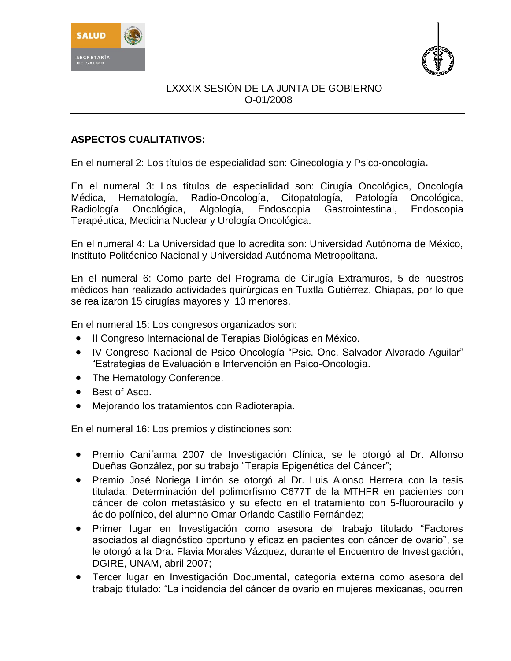



# **ASPECTOS CUALITATIVOS:**

En el numeral 2: Los títulos de especialidad son: Ginecología y Psico-oncología**.**

En el numeral 3: Los títulos de especialidad son: Cirugía Oncológica, Oncología Médica, Hematología, Radio-Oncología, Citopatología, Patología Oncológica, Radiología Oncológica, Algología, Endoscopia Gastrointestinal, Endoscopia Terapéutica, Medicina Nuclear y Urología Oncológica.

En el numeral 4: La Universidad que lo acredita son: Universidad Autónoma de México, Instituto Politécnico Nacional y Universidad Autónoma Metropolitana.

En el numeral 6: Como parte del Programa de Cirugía Extramuros, 5 de nuestros médicos han realizado actividades quirúrgicas en Tuxtla Gutiérrez, Chiapas, por lo que se realizaron 15 cirugías mayores y 13 menores.

En el numeral 15: Los congresos organizados son:

- II Congreso Internacional de Terapias Biológicas en México.
- IV Congreso Nacional de Psico-Oncología "Psic. Onc. Salvador Alvarado Aguilar" "Estrategias de Evaluación e Intervención en Psico-Oncología.
- The Hematology Conference.
- Best of Asco.
- Mejorando los tratamientos con Radioterapia.

En el numeral 16: Los premios y distinciones son:

- Premio Canifarma 2007 de Investigación Clínica, se le otorgó al Dr. Alfonso Dueñas González, por su trabajo "Terapia Epigenética del Cáncer";
- Premio José Noriega Limón se otorgó al Dr. Luis Alonso Herrera con la tesis titulada: Determinación del polimorfismo C677T de la MTHFR en pacientes con cáncer de colon metastásico y su efecto en el tratamiento con 5-fluorouracilo y ácido polínico, del alumno Omar Orlando Castillo Fernández;
- Primer lugar en Investigación como asesora del trabajo titulado "Factores asociados al diagnóstico oportuno y eficaz en pacientes con cáncer de ovario", se le otorgó a la Dra. Flavia Morales Vázquez, durante el Encuentro de Investigación, DGIRE, UNAM, abril 2007;
- Tercer lugar en Investigación Documental, categoría externa como asesora del trabajo titulado: "La incidencia del cáncer de ovario en mujeres mexicanas, ocurren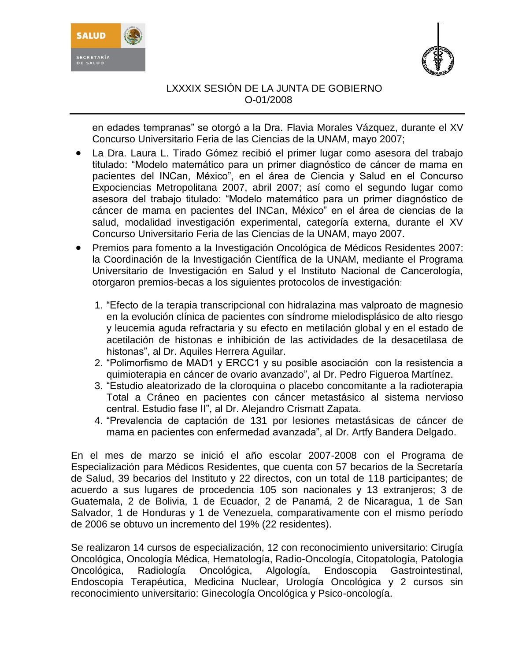



en edades tempranas" se otorgó a la Dra. Flavia Morales Vázquez, durante el XV Concurso Universitario Feria de las Ciencias de la UNAM, mayo 2007;

- La Dra. Laura L. Tirado Gómez recibió el primer lugar como asesora del trabajo titulado: "Modelo matemático para un primer diagnóstico de cáncer de mama en pacientes del INCan, México", en el área de Ciencia y Salud en el Concurso Expociencias Metropolitana 2007, abril 2007; así como el segundo lugar como asesora del trabajo titulado: "Modelo matemático para un primer diagnóstico de cáncer de mama en pacientes del INCan, México" en el área de ciencias de la salud, modalidad investigación experimental, categoría externa, durante el XV Concurso Universitario Feria de las Ciencias de la UNAM, mayo 2007.
- Premios para fomento a la Investigación Oncológica de Médicos Residentes 2007: la Coordinación de la Investigación Científica de la UNAM, mediante el Programa Universitario de Investigación en Salud y el Instituto Nacional de Cancerología, otorgaron premios-becas a los siguientes protocolos de investigación:
	- 1. "Efecto de la terapia transcripcional con hidralazina mas valproato de magnesio en la evolución clínica de pacientes con síndrome mielodisplásico de alto riesgo y leucemia aguda refractaria y su efecto en metilación global y en el estado de acetilación de histonas e inhibición de las actividades de la desacetilasa de histonas", al Dr. Aquiles Herrera Aguilar.
	- 2. "Polimorfismo de MAD1 y ERCC1 y su posible asociación con la resistencia a quimioterapia en cáncer de ovario avanzado", al Dr. Pedro Figueroa Martínez.
	- 3. "Estudio aleatorizado de la cloroquina o placebo concomitante a la radioterapia Total a Cráneo en pacientes con cáncer metastásico al sistema nervioso central. Estudio fase II", al Dr. Alejandro Crismatt Zapata.
	- 4. "Prevalencia de captación de 131 por lesiones metastásicas de cáncer de mama en pacientes con enfermedad avanzada", al Dr. Artfy Bandera Delgado.

En el mes de marzo se inició el año escolar 2007-2008 con el Programa de Especialización para Médicos Residentes, que cuenta con 57 becarios de la Secretaría de Salud, 39 becarios del Instituto y 22 directos, con un total de 118 participantes; de acuerdo a sus lugares de procedencia 105 son nacionales y 13 extranjeros; 3 de Guatemala, 2 de Bolivia, 1 de Ecuador, 2 de Panamá, 2 de Nicaragua, 1 de San Salvador, 1 de Honduras y 1 de Venezuela, comparativamente con el mismo período de 2006 se obtuvo un incremento del 19% (22 residentes).

Se realizaron 14 cursos de especialización, 12 con reconocimiento universitario: Cirugía Oncológica, Oncología Médica, Hematología, Radio-Oncología, Citopatología, Patología Oncológica, Radiología Oncológica, Algología, Endoscopia Gastrointestinal, Endoscopia Terapéutica, Medicina Nuclear, Urología Oncológica y 2 cursos sin reconocimiento universitario: Ginecología Oncológica y Psico-oncología.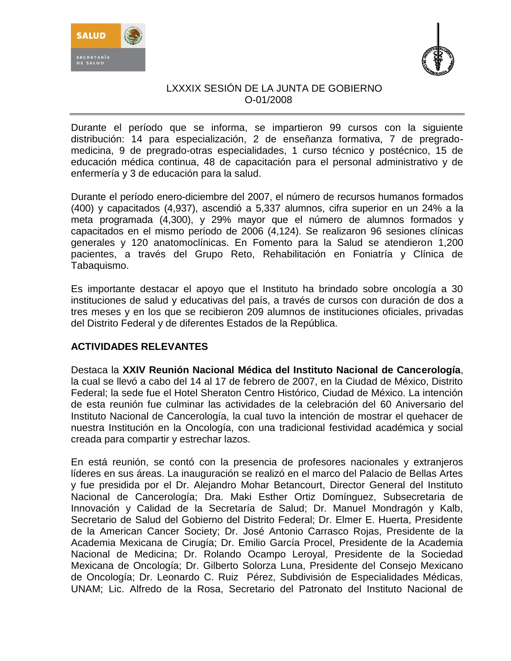



Durante el período que se informa, se impartieron 99 cursos con la siguiente distribución: 14 para especialización, 2 de enseñanza formativa, 7 de pregradomedicina, 9 de pregrado-otras especialidades, 1 curso técnico y postécnico, 15 de educación médica continua, 48 de capacitación para el personal administrativo y de enfermería y 3 de educación para la salud.

Durante el período enero-diciembre del 2007, el número de recursos humanos formados (400) y capacitados (4,937), ascendió a 5,337 alumnos, cifra superior en un 24% a la meta programada (4,300), y 29% mayor que el número de alumnos formados y capacitados en el mismo período de 2006 (4,124). Se realizaron 96 sesiones clínicas generales y 120 anatomoclínicas. En Fomento para la Salud se atendieron 1,200 pacientes, a través del Grupo Reto, Rehabilitación en Foniatría y Clínica de Tabaquismo.

Es importante destacar el apoyo que el Instituto ha brindado sobre oncología a 30 instituciones de salud y educativas del país, a través de cursos con duración de dos a tres meses y en los que se recibieron 209 alumnos de instituciones oficiales, privadas del Distrito Federal y de diferentes Estados de la República.

# **ACTIVIDADES RELEVANTES**

Destaca la **XXIV Reunión Nacional Médica del Instituto Nacional de Cancerología**, la cual se llevó a cabo del 14 al 17 de febrero de 2007, en la Ciudad de México, Distrito Federal; la sede fue el Hotel Sheraton Centro Histórico, Ciudad de México. La intención de esta reunión fue culminar las actividades de la celebración del 60 Aniversario del Instituto Nacional de Cancerología, la cual tuvo la intención de mostrar el quehacer de nuestra Institución en la Oncología, con una tradicional festividad académica y social creada para compartir y estrechar lazos.

En está reunión, se contó con la presencia de profesores nacionales y extranjeros líderes en sus áreas. La inauguración se realizó en el marco del Palacio de Bellas Artes y fue presidida por el Dr. Alejandro Mohar Betancourt, Director General del Instituto Nacional de Cancerología; Dra. Maki Esther Ortiz Domínguez, Subsecretaria de Innovación y Calidad de la Secretaría de Salud; Dr. Manuel Mondragón y Kalb, Secretario de Salud del Gobierno del Distrito Federal; Dr. Elmer E. Huerta, Presidente de la American Cancer Society; Dr. José Antonio Carrasco Rojas, Presidente de la Academia Mexicana de Cirugía; Dr. Emilio García Procel, Presidente de la Academia Nacional de Medicina; Dr. Rolando Ocampo Leroyal, Presidente de la Sociedad Mexicana de Oncología; Dr. Gilberto Solorza Luna, Presidente del Consejo Mexicano de Oncología; Dr. Leonardo C. Ruiz Pérez, Subdivisión de Especialidades Médicas, UNAM; Lic. Alfredo de la Rosa, Secretario del Patronato del Instituto Nacional de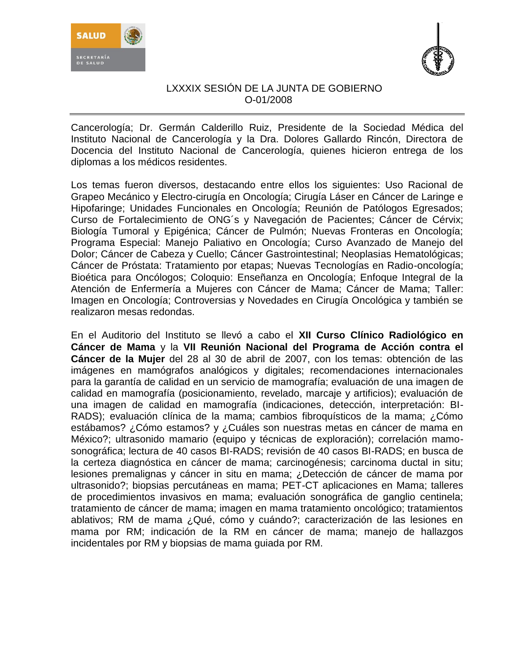



Cancerología; Dr. Germán Calderillo Ruiz, Presidente de la Sociedad Médica del Instituto Nacional de Cancerología y la Dra. Dolores Gallardo Rincón, Directora de Docencia del Instituto Nacional de Cancerología, quienes hicieron entrega de los diplomas a los médicos residentes.

Los temas fueron diversos, destacando entre ellos los siguientes: Uso Racional de Grapeo Mecánico y Electro-cirugía en Oncología; Cirugía Láser en Cáncer de Laringe e Hipofaringe; Unidades Funcionales en Oncología; Reunión de Patólogos Egresados; Curso de Fortalecimiento de ONG´s y Navegación de Pacientes; Cáncer de Cérvix; Biología Tumoral y Epigénica; Cáncer de Pulmón; Nuevas Fronteras en Oncología; Programa Especial: Manejo Paliativo en Oncología; Curso Avanzado de Manejo del Dolor; Cáncer de Cabeza y Cuello; Cáncer Gastrointestinal; Neoplasias Hematológicas; Cáncer de Próstata: Tratamiento por etapas; Nuevas Tecnologías en Radio-oncología; Bioética para Oncólogos; Coloquio: Enseñanza en Oncología; Enfoque Integral de la Atención de Enfermería a Mujeres con Cáncer de Mama; Cáncer de Mama; Taller: Imagen en Oncología; Controversias y Novedades en Cirugía Oncológica y también se realizaron mesas redondas.

En el Auditorio del Instituto se llevó a cabo el **XII Curso Clínico Radiológico en Cáncer de Mama** y la **VII Reunión Nacional del Programa de Acción contra el Cáncer de la Mujer** del 28 al 30 de abril de 2007, con los temas: obtención de las imágenes en mamógrafos analógicos y digitales; recomendaciones internacionales para la garantía de calidad en un servicio de mamografía; evaluación de una imagen de calidad en mamografía (posicionamiento, revelado, marcaje y artificios); evaluación de una imagen de calidad en mamografía (indicaciones, detección, interpretación: BI-RADS); evaluación clínica de la mama; cambios fibroquísticos de la mama; ¿Cómo estábamos? ¿Cómo estamos? y ¿Cuáles son nuestras metas en cáncer de mama en México?; ultrasonido mamario (equipo y técnicas de exploración); correlación mamosonográfica; lectura de 40 casos BI-RADS; revisión de 40 casos BI-RADS; en busca de la certeza diagnóstica en cáncer de mama; carcinogénesis; carcinoma ductal in situ; lesiones premalignas y cáncer in situ en mama; ¿Detección de cáncer de mama por ultrasonido?; biopsias percutáneas en mama; PET-CT aplicaciones en Mama; talleres de procedimientos invasivos en mama; evaluación sonográfica de ganglio centinela; tratamiento de cáncer de mama; imagen en mama tratamiento oncológico; tratamientos ablativos; RM de mama ¿Qué, cómo y cuándo?; caracterización de las lesiones en mama por RM; indicación de la RM en cáncer de mama; manejo de hallazgos incidentales por RM y biopsias de mama guiada por RM.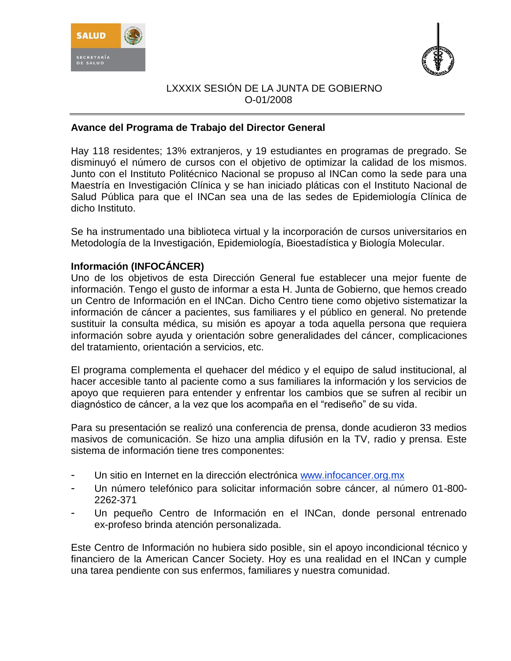



## **Avance del Programa de Trabajo del Director General**

Hay 118 residentes; 13% extranjeros, y 19 estudiantes en programas de pregrado. Se disminuyó el número de cursos con el objetivo de optimizar la calidad de los mismos. Junto con el Instituto Politécnico Nacional se propuso al INCan como la sede para una Maestría en Investigación Clínica y se han iniciado pláticas con el Instituto Nacional de Salud Pública para que el INCan sea una de las sedes de Epidemiología Clínica de dicho Instituto.

Se ha instrumentado una biblioteca virtual y la incorporación de cursos universitarios en Metodología de la Investigación, Epidemiología, Bioestadística y Biología Molecular.

## **Información (INFOCÁNCER)**

Uno de los objetivos de esta Dirección General fue establecer una mejor fuente de información. Tengo el gusto de informar a esta H. Junta de Gobierno, que hemos creado un Centro de Información en el INCan. Dicho Centro tiene como objetivo sistematizar la información de cáncer a pacientes, sus familiares y el público en general. No pretende sustituir la consulta médica, su misión es apoyar a toda aquella persona que requiera información sobre ayuda y orientación sobre generalidades del cáncer, complicaciones del tratamiento, orientación a servicios, etc.

El programa complementa el quehacer del médico y el equipo de salud institucional, al hacer accesible tanto al paciente como a sus familiares la información y los servicios de apoyo que requieren para entender y enfrentar los cambios que se sufren al recibir un diagnóstico de cáncer, a la vez que los acompaña en el "rediseño" de su vida.

Para su presentación se realizó una conferencia de prensa, donde acudieron 33 medios masivos de comunicación. Se hizo una amplia difusión en la TV, radio y prensa. Este sistema de información tiene tres componentes:

- Un sitio en Internet en la dirección electrónica [www.infocancer.org.mx](http://www.infocancer.org.mx/)
- Un número telefónico para solicitar información sobre cáncer, al número 01-800- 2262-371
- Un pequeño Centro de Información en el INCan, donde personal entrenado ex-profeso brinda atención personalizada.

Este Centro de Información no hubiera sido posible, sin el apoyo incondicional técnico y financiero de la American Cancer Society. Hoy es una realidad en el INCan y cumple una tarea pendiente con sus enfermos, familiares y nuestra comunidad.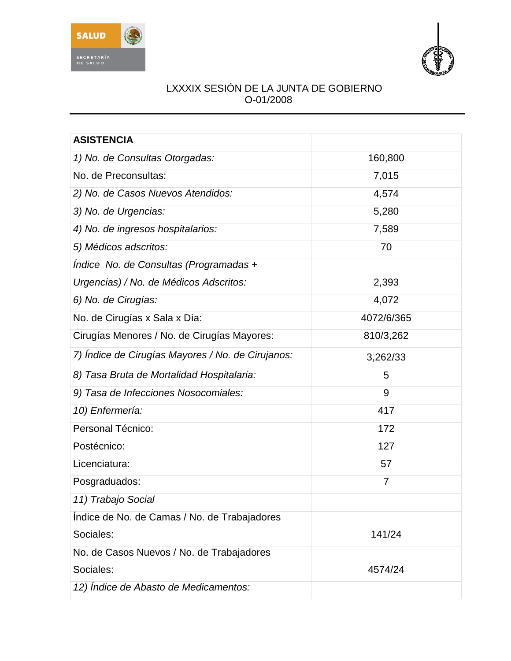



| <b>ASISTENCIA</b>                                 |                |
|---------------------------------------------------|----------------|
| 1) No. de Consultas Otorgadas:                    | 160,800        |
| No. de Preconsultas:                              | 7,015          |
| 2) No. de Casos Nuevos Atendidos:                 | 4,574          |
| 3) No. de Urgencias:                              | 5,280          |
| 4) No. de ingresos hospitalarios:                 | 7,589          |
| 5) Médicos adscritos:                             | 70             |
| Indice No. de Consultas (Programadas +            |                |
| Urgencias) / No. de Médicos Adscritos:            | 2,393          |
| 6) No. de Cirugías:                               | 4,072          |
| No. de Cirugías x Sala x Día:                     | 4072/6/365     |
| Cirugías Menores / No. de Cirugías Mayores:       | 810/3,262      |
| 7) Indice de Cirugías Mayores / No. de Cirujanos: | 3,262/33       |
| 8) Tasa Bruta de Mortalidad Hospitalaria:         | 5              |
| 9) Tasa de Infecciones Nosocomiales:              | 9              |
| 10) Enfermería:                                   | 417            |
| Personal Técnico:                                 | 172            |
| Postécnico:                                       | 127            |
| Licenciatura:                                     | 57             |
| Posgraduados:                                     | $\overline{7}$ |
| 11) Trabajo Social                                |                |
| Indice de No. de Camas / No. de Trabajadores      |                |
| Sociales:                                         | 141/24         |
| No. de Casos Nuevos / No. de Trabajadores         |                |
| Sociales:                                         | 4574/24        |
| 12) Indice de Abasto de Medicamentos:             |                |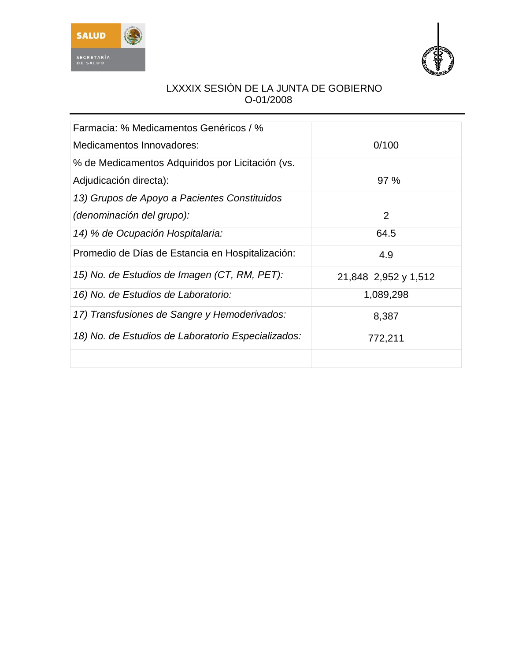



| Farmacia: % Medicamentos Genéricos / %             |                      |
|----------------------------------------------------|----------------------|
| Medicamentos Innovadores:                          | 0/100                |
| % de Medicamentos Adquiridos por Licitación (vs.   |                      |
| Adjudicación directa):                             | 97%                  |
| 13) Grupos de Apoyo a Pacientes Constituidos       |                      |
| (denominación del grupo):                          | 2                    |
| 14) % de Ocupación Hospitalaria:                   | 64.5                 |
| Promedio de Días de Estancia en Hospitalización:   | 4.9                  |
| 15) No. de Estudios de Imagen (CT, RM, PET):       | 21,848 2,952 y 1,512 |
| 16) No. de Estudios de Laboratorio:                | 1,089,298            |
| 17) Transfusiones de Sangre y Hemoderivados:       | 8,387                |
| 18) No. de Estudios de Laboratorio Especializados: | 772,211              |
|                                                    |                      |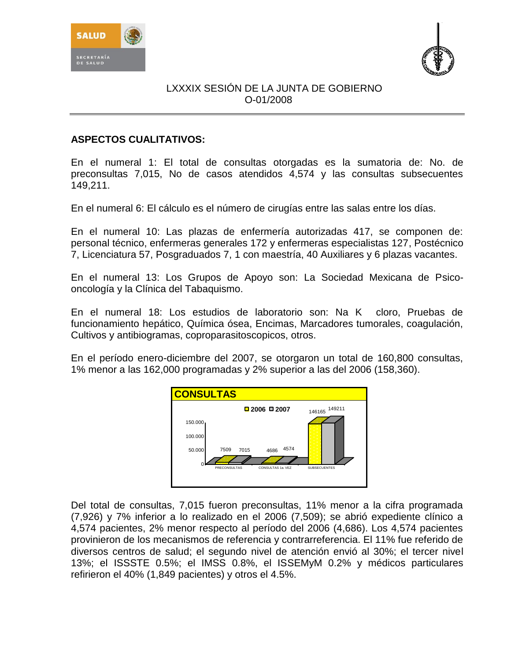



# **ASPECTOS CUALITATIVOS:**

En el numeral 1: El total de consultas otorgadas es la sumatoria de: No. de preconsultas 7,015, No de casos atendidos 4,574 y las consultas subsecuentes 149,211.

En el numeral 6: El cálculo es el número de cirugías entre las salas entre los días.

En el numeral 10: Las plazas de enfermería autorizadas 417, se componen de: personal técnico, enfermeras generales 172 y enfermeras especialistas 127, Postécnico 7, Licenciatura 57, Posgraduados 7, 1 con maestría, 40 Auxiliares y 6 plazas vacantes.

En el numeral 13: Los Grupos de Apoyo son: La Sociedad Mexicana de Psicooncología y la Clínica del Tabaquismo.

En el numeral 18: Los estudios de laboratorio son: Na K cloro, Pruebas de funcionamiento hepático, Química ósea, Encimas, Marcadores tumorales, coagulación, Cultivos y antibiogramas, coproparasitoscopicos, otros.

En el período enero-diciembre del 2007, se otorgaron un total de 160,800 consultas, 1% menor a las 162,000 programadas y 2% superior a las del 2006 (158,360).



Del total de consultas, 7,015 fueron preconsultas, 11% menor a la cifra programada (7,926) y 7% inferior a lo realizado en el 2006 (7,509); se abrió expediente clínico a 4,574 pacientes, 2% menor respecto al período del 2006 (4,686). Los 4,574 pacientes provinieron de los mecanismos de referencia y contrarreferencia. El 11% fue referido de diversos centros de salud; el segundo nivel de atención envió al 30%; el tercer nivel 13%; el ISSSTE 0.5%; el IMSS 0.8%, el ISSEMyM 0.2% y médicos particulares refirieron el 40% (1,849 pacientes) y otros el 4.5%.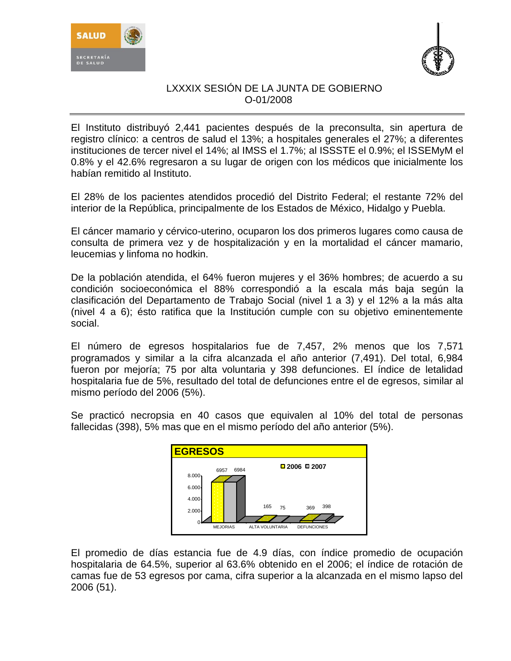



El Instituto distribuyó 2,441 pacientes después de la preconsulta, sin apertura de registro clínico: a centros de salud el 13%; a hospitales generales el 27%; a diferentes instituciones de tercer nivel el 14%; al IMSS el 1.7%; al ISSSTE el 0.9%; el ISSEMyM el 0.8% y el 42.6% regresaron a su lugar de origen con los médicos que inicialmente los habían remitido al Instituto.

El 28% de los pacientes atendidos procedió del Distrito Federal; el restante 72% del interior de la República, principalmente de los Estados de México, Hidalgo y Puebla.

El cáncer mamario y cérvico-uterino, ocuparon los dos primeros lugares como causa de consulta de primera vez y de hospitalización y en la mortalidad el cáncer mamario, leucemias y linfoma no hodkin.

De la población atendida, el 64% fueron mujeres y el 36% hombres; de acuerdo a su condición socioeconómica el 88% correspondió a la escala más baja según la clasificación del Departamento de Trabajo Social (nivel 1 a 3) y el 12% a la más alta (nivel 4 a 6); ésto ratifica que la Institución cumple con su objetivo eminentemente social.

El número de egresos hospitalarios fue de 7,457, 2% menos que los 7,571 programados y similar a la cifra alcanzada el año anterior (7,491). Del total, 6,984 fueron por mejoría; 75 por alta voluntaria y 398 defunciones. El índice de letalidad hospitalaria fue de 5%, resultado del total de defunciones entre el de egresos, similar al mismo período del 2006 (5%).

Se practicó necropsia en 40 casos que equivalen al 10% del total de personas fallecidas (398), 5% mas que en el mismo período del año anterior (5%).



El promedio de días estancia fue de 4.9 días, con índice promedio de ocupación hospitalaria de 64.5%, superior al 63.6% obtenido en el 2006; el índice de rotación de camas fue de 53 egresos por cama, cifra superior a la alcanzada en el mismo lapso del 2006 (51).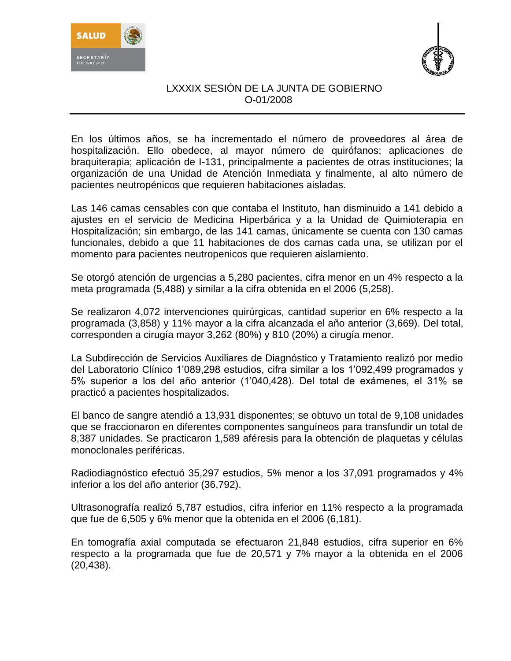



En los últimos años, se ha incrementado el número de proveedores al área de hospitalización. Ello obedece, al mayor número de quirófanos; aplicaciones de braquiterapia; aplicación de I-131, principalmente a pacientes de otras instituciones; la organización de una Unidad de Atención Inmediata y finalmente, al alto número de pacientes neutropénicos que requieren habitaciones aisladas.

Las 146 camas censables con que contaba el Instituto, han disminuido a 141 debido a ajustes en el servicio de Medicina Hiperbárica y a la Unidad de Quimioterapia en Hospitalización; sin embargo, de las 141 camas, únicamente se cuenta con 130 camas funcionales, debido a que 11 habitaciones de dos camas cada una, se utilizan por el momento para pacientes neutropenicos que requieren aislamiento.

Se otorgó atención de urgencias a 5,280 pacientes, cifra menor en un 4% respecto a la meta programada (5,488) y similar a la cifra obtenida en el 2006 (5,258).

Se realizaron 4,072 intervenciones quirúrgicas, cantidad superior en 6% respecto a la programada (3,858) y 11% mayor a la cifra alcanzada el año anterior (3,669). Del total, corresponden a cirugía mayor 3,262 (80%) y 810 (20%) a cirugía menor.

La Subdirección de Servicios Auxiliares de Diagnóstico y Tratamiento realizó por medio del Laboratorio Clínico 1'089,298 estudios, cifra similar a los 1'092,499 programados y 5% superior a los del año anterior (1'040,428). Del total de exámenes, el 31% se practicó a pacientes hospitalizados.

El banco de sangre atendió a 13,931 disponentes; se obtuvo un total de 9,108 unidades que se fraccionaron en diferentes componentes sanguíneos para transfundir un total de 8,387 unidades. Se practicaron 1,589 aféresis para la obtención de plaquetas y células monoclonales periféricas.

Radiodiagnóstico efectuó 35,297 estudios, 5% menor a los 37,091 programados y 4% inferior a los del año anterior (36,792).

Ultrasonografía realizó 5,787 estudios, cifra inferior en 11% respecto a la programada que fue de 6,505 y 6% menor que la obtenida en el 2006 (6,181).

En tomografía axial computada se efectuaron 21,848 estudios, cifra superior en 6% respecto a la programada que fue de 20,571 y 7% mayor a la obtenida en el 2006 (20,438).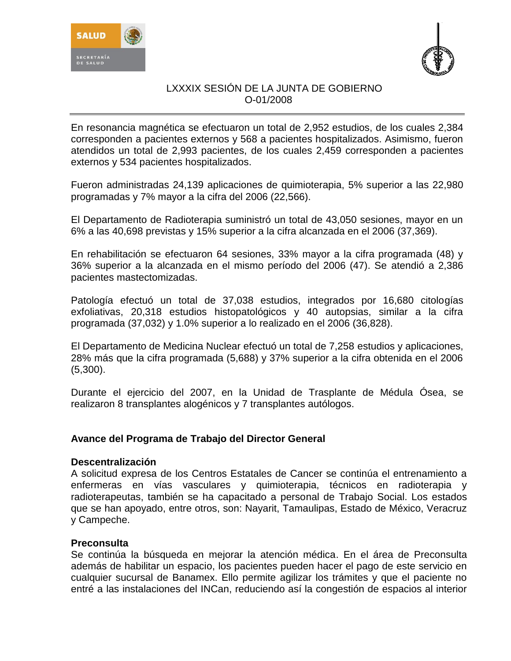



En resonancia magnética se efectuaron un total de 2,952 estudios, de los cuales 2,384 corresponden a pacientes externos y 568 a pacientes hospitalizados. Asimismo, fueron atendidos un total de 2,993 pacientes, de los cuales 2,459 corresponden a pacientes externos y 534 pacientes hospitalizados.

Fueron administradas 24,139 aplicaciones de quimioterapia, 5% superior a las 22,980 programadas y 7% mayor a la cifra del 2006 (22,566).

El Departamento de Radioterapia suministró un total de 43,050 sesiones, mayor en un 6% a las 40,698 previstas y 15% superior a la cifra alcanzada en el 2006 (37,369).

En rehabilitación se efectuaron 64 sesiones, 33% mayor a la cifra programada (48) y 36% superior a la alcanzada en el mismo período del 2006 (47). Se atendió a 2,386 pacientes mastectomizadas.

Patología efectuó un total de 37,038 estudios, integrados por 16,680 citologías exfoliativas, 20,318 estudios histopatológicos y 40 autopsias, similar a la cifra programada (37,032) y 1.0% superior a lo realizado en el 2006 (36,828).

El Departamento de Medicina Nuclear efectuó un total de 7,258 estudios y aplicaciones, 28% más que la cifra programada (5,688) y 37% superior a la cifra obtenida en el 2006 (5,300).

Durante el ejercicio del 2007, en la Unidad de Trasplante de Médula Ósea, se realizaron 8 transplantes alogénicos y 7 transplantes autólogos.

## **Avance del Programa de Trabajo del Director General**

#### **Descentralización**

A solicitud expresa de los Centros Estatales de Cancer se continúa el entrenamiento a enfermeras en vías vasculares y quimioterapia, técnicos en radioterapia y radioterapeutas, también se ha capacitado a personal de Trabajo Social. Los estados que se han apoyado, entre otros, son: Nayarit, Tamaulipas, Estado de México, Veracruz y Campeche.

## **Preconsulta**

Se continúa la búsqueda en mejorar la atención médica. En el área de Preconsulta además de habilitar un espacio, los pacientes pueden hacer el pago de este servicio en cualquier sucursal de Banamex. Ello permite agilizar los trámites y que el paciente no entré a las instalaciones del INCan, reduciendo así la congestión de espacios al interior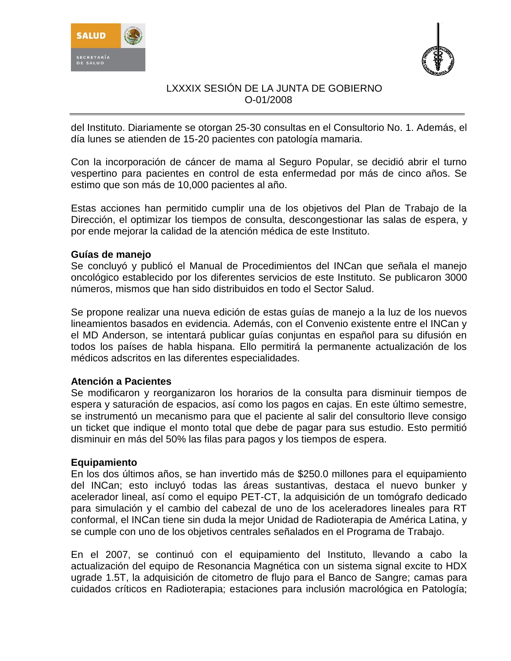



del Instituto. Diariamente se otorgan 25-30 consultas en el Consultorio No. 1. Además, el día lunes se atienden de 15-20 pacientes con patología mamaria.

Con la incorporación de cáncer de mama al Seguro Popular, se decidió abrir el turno vespertino para pacientes en control de esta enfermedad por más de cinco años. Se estimo que son más de 10,000 pacientes al año.

Estas acciones han permitido cumplir una de los objetivos del Plan de Trabajo de la Dirección, el optimizar los tiempos de consulta, descongestionar las salas de espera, y por ende mejorar la calidad de la atención médica de este Instituto.

#### **Guías de manejo**

Se concluyó y publicó el Manual de Procedimientos del INCan que señala el manejo oncológico establecido por los diferentes servicios de este Instituto. Se publicaron 3000 números, mismos que han sido distribuidos en todo el Sector Salud.

Se propone realizar una nueva edición de estas guías de manejo a la luz de los nuevos lineamientos basados en evidencia. Además, con el Convenio existente entre el INCan y el MD Anderson, se intentará publicar guías conjuntas en español para su difusión en todos los países de habla hispana. Ello permitirá la permanente actualización de los médicos adscritos en las diferentes especialidades.

## **Atención a Pacientes**

Se modificaron y reorganizaron los horarios de la consulta para disminuir tiempos de espera y saturación de espacios, así como los pagos en cajas. En este último semestre, se instrumentó un mecanismo para que el paciente al salir del consultorio lleve consigo un ticket que indique el monto total que debe de pagar para sus estudio. Esto permitió disminuir en más del 50% las filas para pagos y los tiempos de espera.

#### **Equipamiento**

En los dos últimos años, se han invertido más de \$250.0 millones para el equipamiento del INCan; esto incluyó todas las áreas sustantivas, destaca el nuevo bunker y acelerador lineal, así como el equipo PET-CT, la adquisición de un tomógrafo dedicado para simulación y el cambio del cabezal de uno de los aceleradores lineales para RT conformal, el INCan tiene sin duda la mejor Unidad de Radioterapia de América Latina, y se cumple con uno de los objetivos centrales señalados en el Programa de Trabajo.

En el 2007, se continuó con el equipamiento del Instituto, llevando a cabo la actualización del equipo de Resonancia Magnética con un sistema signal excite to HDX ugrade 1.5T, la adquisición de citometro de flujo para el Banco de Sangre; camas para cuidados críticos en Radioterapia; estaciones para inclusión macrológica en Patología;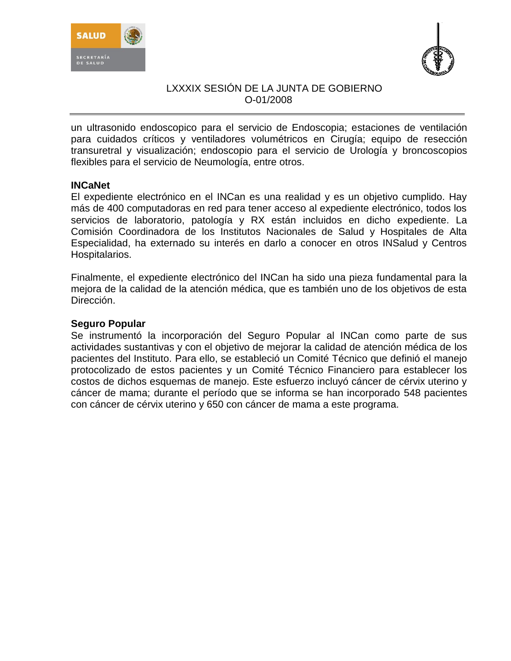



un ultrasonido endoscopico para el servicio de Endoscopia; estaciones de ventilación para cuidados críticos y ventiladores volumétricos en Cirugía; equipo de resección transuretral y visualización; endoscopio para el servicio de Urología y broncoscopios flexibles para el servicio de Neumología, entre otros.

#### **INCaNet**

El expediente electrónico en el INCan es una realidad y es un objetivo cumplido. Hay más de 400 computadoras en red para tener acceso al expediente electrónico, todos los servicios de laboratorio, patología y RX están incluidos en dicho expediente. La Comisión Coordinadora de los Institutos Nacionales de Salud y Hospitales de Alta Especialidad, ha externado su interés en darlo a conocer en otros INSalud y Centros Hospitalarios.

Finalmente, el expediente electrónico del INCan ha sido una pieza fundamental para la mejora de la calidad de la atención médica, que es también uno de los objetivos de esta Dirección.

## **Seguro Popular**

Se instrumentó la incorporación del Seguro Popular al INCan como parte de sus actividades sustantivas y con el objetivo de mejorar la calidad de atención médica de los pacientes del Instituto. Para ello, se estableció un Comité Técnico que definió el manejo protocolizado de estos pacientes y un Comité Técnico Financiero para establecer los costos de dichos esquemas de manejo. Este esfuerzo incluyó cáncer de cérvix uterino y cáncer de mama; durante el período que se informa se han incorporado 548 pacientes con cáncer de cérvix uterino y 650 con cáncer de mama a este programa.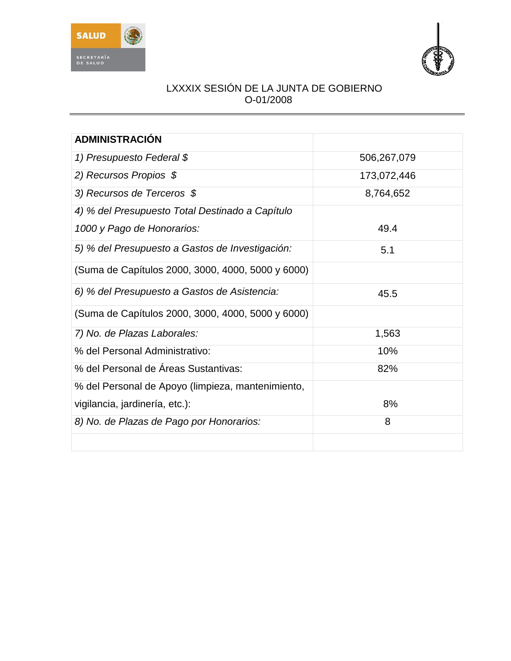



| <b>ADMINISTRACIÓN</b>                             |             |
|---------------------------------------------------|-------------|
| 1) Presupuesto Federal \$                         | 506,267,079 |
| 2) Recursos Propios $$$                           | 173,072,446 |
| 3) Recursos de Terceros \$                        | 8,764,652   |
| 4) % del Presupuesto Total Destinado a Capítulo   |             |
| 1000 y Pago de Honorarios:                        | 49.4        |
| 5) % del Presupuesto a Gastos de Investigación:   | 5.1         |
| (Suma de Capítulos 2000, 3000, 4000, 5000 y 6000) |             |
| 6) % del Presupuesto a Gastos de Asistencia:      | 45.5        |
| (Suma de Capítulos 2000, 3000, 4000, 5000 y 6000) |             |
| 7) No. de Plazas Laborales:                       | 1,563       |
| % del Personal Administrativo:                    | 10%         |
| % del Personal de Áreas Sustantivas:              | 82%         |
| % del Personal de Apoyo (limpieza, mantenimiento, |             |
| vigilancia, jardinería, etc.):                    | 8%          |
| 8) No. de Plazas de Pago por Honorarios:          | 8           |
|                                                   |             |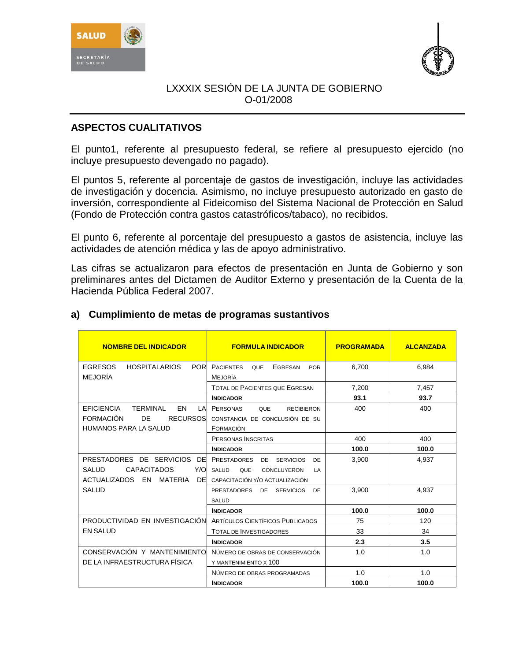



# **ASPECTOS CUALITATIVOS**

El punto1, referente al presupuesto federal, se refiere al presupuesto ejercido (no incluye presupuesto devengado no pagado).

El puntos 5, referente al porcentaje de gastos de investigación, incluye las actividades de investigación y docencia. Asimismo, no incluye presupuesto autorizado en gasto de inversión, correspondiente al Fideicomiso del Sistema Nacional de Protección en Salud (Fondo de Protección contra gastos catastróficos/tabaco), no recibidos.

El punto 6, referente al porcentaje del presupuesto a gastos de asistencia, incluye las actividades de atención médica y las de apoyo administrativo.

Las cifras se actualizaron para efectos de presentación en Junta de Gobierno y son preliminares antes del Dictamen de Auditor Externo y presentación de la Cuenta de la Hacienda Pública Federal 2007.

| <b>NOMBRE DEL INDICADOR</b>                                            | <b>FORMULA INDICADOR</b>                                | <b>PROGRAMADA</b> | <b>ALCANZADA</b> |
|------------------------------------------------------------------------|---------------------------------------------------------|-------------------|------------------|
| <b>EGRESOS</b><br><b>HOSPITALARIOS</b><br><b>POR</b>                   | <b>PACIENTES</b><br><b>QUE</b><br>EGRESAN<br><b>POR</b> | 6,700             | 6,984            |
| <b>MEJORÍA</b>                                                         | Mejoría                                                 |                   |                  |
|                                                                        | <b>TOTAL DE PACIENTES QUE EGRESAN</b>                   | 7,200             | 7,457            |
|                                                                        | <b>INDICADOR</b>                                        | 93.1              | 93.7             |
| <b>EFICIENCIA</b><br><b>FN</b><br><b>TERMINAL</b><br>I A               | <b>PERSONAS</b><br><b>QUE</b><br><b>RECIBIERON</b>      | 400               | 400              |
| <b>FORMACIÓN</b><br>DE<br><b>RECURSOS</b>                              | CONSTANCIA DE CONCLUSIÓN DE SU                          |                   |                  |
| <b>HUMANOS PARA LA SALUD</b>                                           | FORMACIÓN                                               |                   |                  |
|                                                                        | PERSONAS INSCRITAS                                      | 400               | 400              |
|                                                                        | <b>INDICADOR</b>                                        | 100.0             | 100.0            |
| PRESTADORES DE SERVICIOS<br>DE                                         | <b>PRESTADORES</b><br>DE<br><b>SERVICIOS</b><br>DE      | 3.900             | 4.937            |
| <b>CAPACITADOS</b><br>Y/O<br>SALUD.                                    | SALUD<br><b>QUE</b><br>CONCLUYERON<br>I A               |                   |                  |
| ACTUALIZADOS EN<br>MATERIA<br>DEI                                      | CAPACITACIÓN Y/O ACTUALIZACIÓN                          |                   |                  |
| <b>SALUD</b>                                                           | PRESTADORES<br><b>SERVICIOS</b><br>DE 1<br>DE           | 3.900             | 4.937            |
|                                                                        | <b>SALUD</b>                                            |                   |                  |
|                                                                        | <b>INDICADOR</b>                                        | 100.0             | 100.0            |
| <b>PRODUCTIVIDAD EN INVESTIGACIÓN ARTÍCULOS CIENTÍFICOS PUBLICADOS</b> |                                                         | 75                | 120              |
| <b>EN SALUD</b>                                                        | <b>TOTAL DE INVESTIGADORES</b>                          | 33                | 34               |
|                                                                        | <b>INDICADOR</b>                                        | 2.3               | 3.5              |
| CONSERVACIÓN Y MANTENIMIENTO                                           | NÚMERO DE OBRAS DE CONSERVACIÓN                         | 1.0               | 1.0              |
| DE LA INFRAESTRUCTURA FÍSICA                                           | Y MANTENIMIENTO X 100                                   |                   |                  |
|                                                                        | NÚMERO DE OBRAS PROGRAMADAS                             | 1.0               | 1.0              |
|                                                                        | <b>INDICADOR</b>                                        | 100.0             | 100.0            |

#### **a) Cumplimiento de metas de programas sustantivos**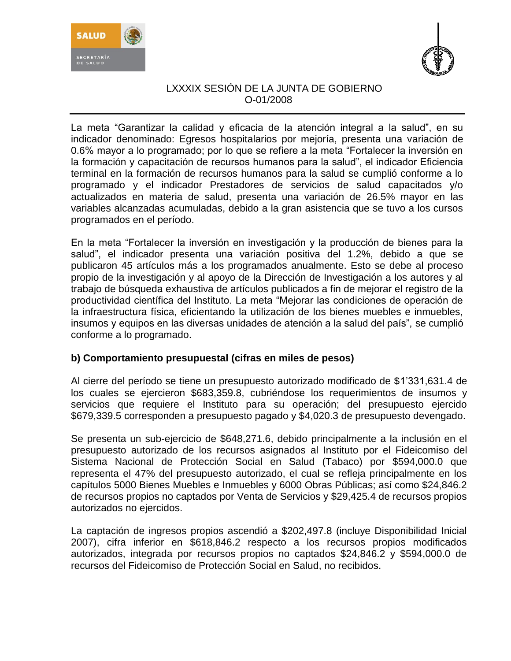



La meta "Garantizar la calidad y eficacia de la atención integral a la salud", en su indicador denominado: Egresos hospitalarios por mejoría, presenta una variación de 0.6% mayor a lo programado; por lo que se refiere a la meta "Fortalecer la inversión en la formación y capacitación de recursos humanos para la salud", el indicador Eficiencia terminal en la formación de recursos humanos para la salud se cumplió conforme a lo programado y el indicador Prestadores de servicios de salud capacitados y/o actualizados en materia de salud, presenta una variación de 26.5% mayor en las variables alcanzadas acumuladas, debido a la gran asistencia que se tuvo a los cursos programados en el período.

En la meta "Fortalecer la inversión en investigación y la producción de bienes para la salud", el indicador presenta una variación positiva del 1.2%, debido a que se publicaron 45 artículos más a los programados anualmente. Esto se debe al proceso propio de la investigación y al apoyo de la Dirección de Investigación a los autores y al trabajo de búsqueda exhaustiva de artículos publicados a fin de mejorar el registro de la productividad científica del Instituto. La meta "Mejorar las condiciones de operación de la infraestructura física, eficientando la utilización de los bienes muebles e inmuebles, insumos y equipos en las diversas unidades de atención a la salud del país", se cumplió conforme a lo programado.

# **b) Comportamiento presupuestal (cifras en miles de pesos)**

Al cierre del período se tiene un presupuesto autorizado modificado de \$1'331,631.4 de los cuales se ejercieron \$683,359.8, cubriéndose los requerimientos de insumos y servicios que requiere el Instituto para su operación; del presupuesto ejercido \$679,339.5 corresponden a presupuesto pagado y \$4,020.3 de presupuesto devengado.

Se presenta un sub-ejercicio de \$648,271.6, debido principalmente a la inclusión en el presupuesto autorizado de los recursos asignados al Instituto por el Fideicomiso del Sistema Nacional de Protección Social en Salud (Tabaco) por \$594,000.0 que representa el 47% del presupuesto autorizado, el cual se refleja principalmente en los capítulos 5000 Bienes Muebles e Inmuebles y 6000 Obras Públicas; así como \$24,846.2 de recursos propios no captados por Venta de Servicios y \$29,425.4 de recursos propios autorizados no ejercidos.

La captación de ingresos propios ascendió a \$202,497.8 (incluye Disponibilidad Inicial 2007), cifra inferior en \$618,846.2 respecto a los recursos propios modificados autorizados, integrada por recursos propios no captados \$24,846.2 y \$594,000.0 de recursos del Fideicomiso de Protección Social en Salud, no recibidos.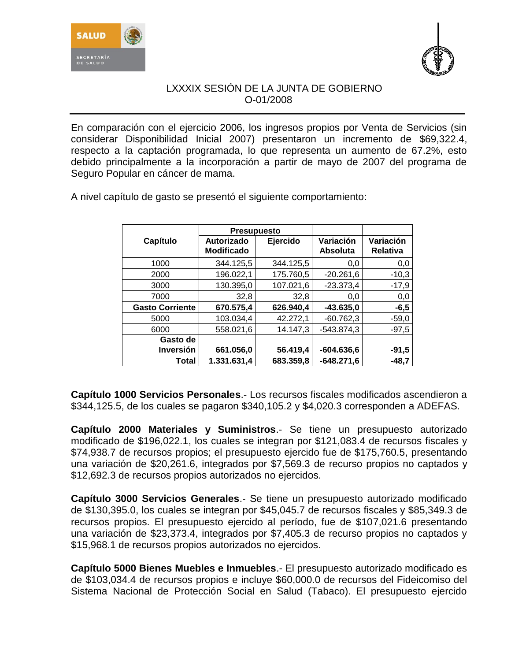



En comparación con el ejercicio 2006, los ingresos propios por Venta de Servicios (sin considerar Disponibilidad Inicial 2007) presentaron un incremento de \$69,322.4, respecto a la captación programada, lo que representa un aumento de 67.2%, esto debido principalmente a la incorporación a partir de mayo de 2007 del programa de Seguro Popular en cáncer de mama.

|                        | <b>Presupuesto</b>              |           |                              |                              |
|------------------------|---------------------------------|-----------|------------------------------|------------------------------|
| Capítulo               | Autorizado<br><b>Modificado</b> | Ejercido  | Variación<br><b>Absoluta</b> | Variación<br><b>Relativa</b> |
| 1000                   | 344.125,5                       | 344.125,5 | 0,0                          | 0,0                          |
| 2000                   | 196.022,1                       | 175.760,5 | $-20.261,6$                  | $-10,3$                      |
| 3000                   | 130.395,0                       | 107.021,6 | $-23.373,4$                  | $-17,9$                      |
| 7000                   | 32,8                            | 32,8      | 0,0                          | 0,0                          |
| <b>Gasto Corriente</b> | 670.575,4                       | 626.940,4 | $-43.635,0$                  | $-6,5$                       |
| 5000                   | 103.034,4                       | 42.272,1  | $-60.762,3$                  | $-59,0$                      |
| 6000                   | 558.021.6                       | 14.147,3  | $-543.874.3$                 | $-97,5$                      |
| Gasto de               |                                 |           |                              |                              |
| <b>Inversión</b>       | 661.056,0                       | 56.419,4  | $-604.636,6$                 | $-91,5$                      |
| Total                  | 1.331.631,4                     | 683.359,8 | $-648.271.6$                 | $-48.7$                      |

A nivel capítulo de gasto se presentó el siguiente comportamiento:

**Capítulo 1000 Servicios Personales**.- Los recursos fiscales modificados ascendieron a \$344,125.5, de los cuales se pagaron \$340,105.2 y \$4,020.3 corresponden a ADEFAS.

**Capítulo 2000 Materiales y Suministros**.- Se tiene un presupuesto autorizado modificado de \$196,022.1, los cuales se integran por \$121,083.4 de recursos fiscales y \$74,938.7 de recursos propios; el presupuesto ejercido fue de \$175,760.5, presentando una variación de \$20,261.6, integrados por \$7,569.3 de recurso propios no captados y \$12,692.3 de recursos propios autorizados no ejercidos.

**Capítulo 3000 Servicios Generales**.- Se tiene un presupuesto autorizado modificado de \$130,395.0, los cuales se integran por \$45,045.7 de recursos fiscales y \$85,349.3 de recursos propios. El presupuesto ejercido al período, fue de \$107,021.6 presentando una variación de \$23,373.4, integrados por \$7,405.3 de recurso propios no captados y \$15,968.1 de recursos propios autorizados no ejercidos.

**Capítulo 5000 Bienes Muebles e Inmuebles**.- El presupuesto autorizado modificado es de \$103,034.4 de recursos propios e incluye \$60,000.0 de recursos del Fideicomiso del Sistema Nacional de Protección Social en Salud (Tabaco). El presupuesto ejercido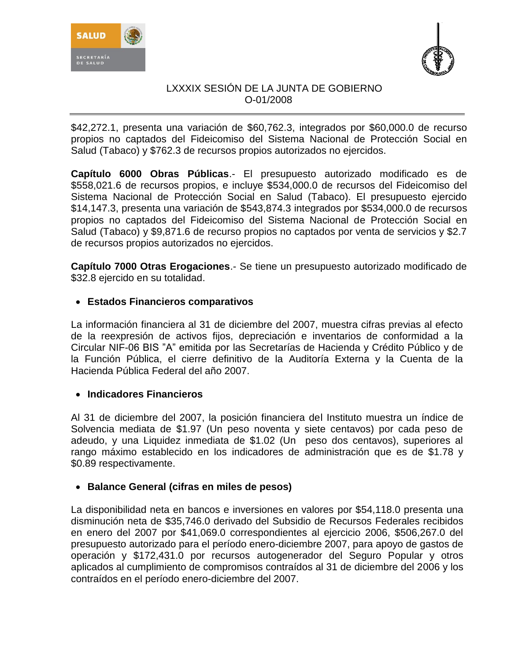



\$42,272.1, presenta una variación de \$60,762.3, integrados por \$60,000.0 de recurso propios no captados del Fideicomiso del Sistema Nacional de Protección Social en Salud (Tabaco) y \$762.3 de recursos propios autorizados no ejercidos.

**Capítulo 6000 Obras Públicas**.- El presupuesto autorizado modificado es de \$558,021.6 de recursos propios, e incluye \$534,000.0 de recursos del Fideicomiso del Sistema Nacional de Protección Social en Salud (Tabaco). El presupuesto ejercido \$14,147.3, presenta una variación de \$543,874.3 integrados por \$534,000.0 de recursos propios no captados del Fideicomiso del Sistema Nacional de Protección Social en Salud (Tabaco) y \$9,871.6 de recurso propios no captados por venta de servicios y \$2.7 de recursos propios autorizados no ejercidos.

**Capítulo 7000 Otras Erogaciones**.- Se tiene un presupuesto autorizado modificado de \$32.8 ejercido en su totalidad.

# **Estados Financieros comparativos**

La información financiera al 31 de diciembre del 2007, muestra cifras previas al efecto de la reexpresión de activos fijos, depreciación e inventarios de conformidad a la Circular NIF-06 BIS "A" emitida por las Secretarías de Hacienda y Crédito Público y de la Función Pública, el cierre definitivo de la Auditoría Externa y la Cuenta de la Hacienda Pública Federal del año 2007.

## **Indicadores Financieros**

Al 31 de diciembre del 2007, la posición financiera del Instituto muestra un índice de Solvencia mediata de \$1.97 (Un peso noventa y siete centavos) por cada peso de adeudo, y una Liquidez inmediata de \$1.02 (Un peso dos centavos), superiores al rango máximo establecido en los indicadores de administración que es de \$1.78 y \$0.89 respectivamente.

## **Balance General (cifras en miles de pesos)**

La disponibilidad neta en bancos e inversiones en valores por \$54,118.0 presenta una disminución neta de \$35,746.0 derivado del Subsidio de Recursos Federales recibidos en enero del 2007 por \$41,069.0 correspondientes al ejercicio 2006, \$506,267.0 del presupuesto autorizado para el período enero-diciembre 2007, para apoyo de gastos de operación y \$172,431.0 por recursos autogenerador del Seguro Popular y otros aplicados al cumplimiento de compromisos contraídos al 31 de diciembre del 2006 y los contraídos en el período enero-diciembre del 2007.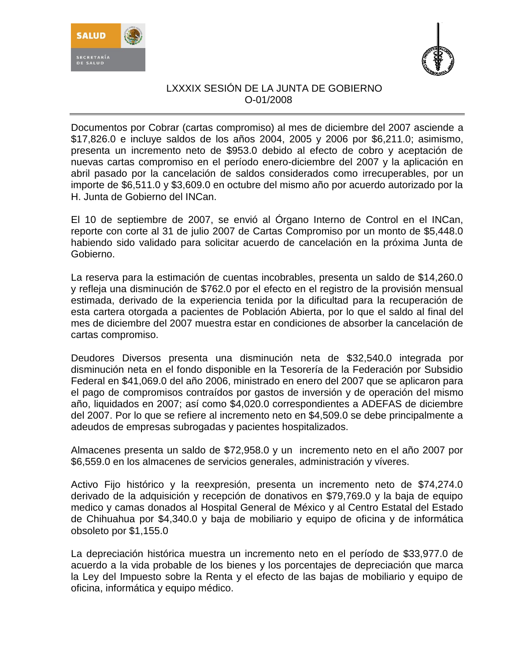



Documentos por Cobrar (cartas compromiso) al mes de diciembre del 2007 asciende a \$17,826.0 e incluye saldos de los años 2004, 2005 y 2006 por \$6,211.0; asimismo, presenta un incremento neto de \$953.0 debido al efecto de cobro y aceptación de nuevas cartas compromiso en el período enero-diciembre del 2007 y la aplicación en abril pasado por la cancelación de saldos considerados como irrecuperables, por un importe de \$6,511.0 y \$3,609.0 en octubre del mismo año por acuerdo autorizado por la H. Junta de Gobierno del INCan.

El 10 de septiembre de 2007, se envió al Órgano Interno de Control en el INCan, reporte con corte al 31 de julio 2007 de Cartas Compromiso por un monto de \$5,448.0 habiendo sido validado para solicitar acuerdo de cancelación en la próxima Junta de Gobierno.

La reserva para la estimación de cuentas incobrables, presenta un saldo de \$14,260.0 y refleja una disminución de \$762.0 por el efecto en el registro de la provisión mensual estimada, derivado de la experiencia tenida por la dificultad para la recuperación de esta cartera otorgada a pacientes de Población Abierta, por lo que el saldo al final del mes de diciembre del 2007 muestra estar en condiciones de absorber la cancelación de cartas compromiso.

Deudores Diversos presenta una disminución neta de \$32,540.0 integrada por disminución neta en el fondo disponible en la Tesorería de la Federación por Subsidio Federal en \$41,069.0 del año 2006, ministrado en enero del 2007 que se aplicaron para el pago de compromisos contraídos por gastos de inversión y de operación del mismo año, liquidados en 2007; así como \$4,020.0 correspondientes a ADEFAS de diciembre del 2007. Por lo que se refiere al incremento neto en \$4,509.0 se debe principalmente a adeudos de empresas subrogadas y pacientes hospitalizados.

Almacenes presenta un saldo de \$72,958.0 y un incremento neto en el año 2007 por \$6,559.0 en los almacenes de servicios generales, administración y víveres.

Activo Fijo histórico y la reexpresión, presenta un incremento neto de \$74,274.0 derivado de la adquisición y recepción de donativos en \$79,769.0 y la baja de equipo medico y camas donados al Hospital General de México y al Centro Estatal del Estado de Chihuahua por \$4,340.0 y baja de mobiliario y equipo de oficina y de informática obsoleto por \$1,155.0

La depreciación histórica muestra un incremento neto en el período de \$33,977.0 de acuerdo a la vida probable de los bienes y los porcentajes de depreciación que marca la Ley del Impuesto sobre la Renta y el efecto de las bajas de mobiliario y equipo de oficina, informática y equipo médico.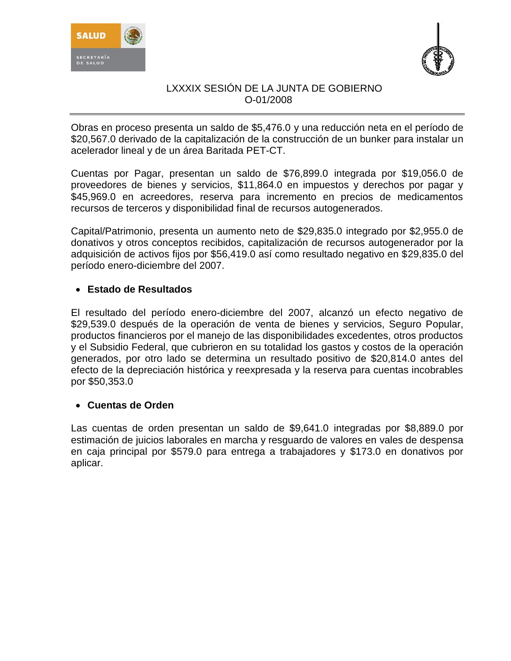



Obras en proceso presenta un saldo de \$5,476.0 y una reducción neta en el período de \$20,567.0 derivado de la capitalización de la construcción de un bunker para instalar un acelerador lineal y de un área Baritada PET-CT.

Cuentas por Pagar, presentan un saldo de \$76,899.0 integrada por \$19,056.0 de proveedores de bienes y servicios, \$11,864.0 en impuestos y derechos por pagar y \$45,969.0 en acreedores, reserva para incremento en precios de medicamentos recursos de terceros y disponibilidad final de recursos autogenerados.

Capital/Patrimonio, presenta un aumento neto de \$29,835.0 integrado por \$2,955.0 de donativos y otros conceptos recibidos, capitalización de recursos autogenerador por la adquisición de activos fijos por \$56,419.0 así como resultado negativo en \$29,835.0 del período enero-diciembre del 2007.

# **Estado de Resultados**

El resultado del período enero-diciembre del 2007, alcanzó un efecto negativo de \$29,539.0 después de la operación de venta de bienes y servicios, Seguro Popular, productos financieros por el manejo de las disponibilidades excedentes, otros productos y el Subsidio Federal, que cubrieron en su totalidad los gastos y costos de la operación generados, por otro lado se determina un resultado positivo de \$20,814.0 antes del efecto de la depreciación histórica y reexpresada y la reserva para cuentas incobrables por \$50,353.0

## **Cuentas de Orden**

Las cuentas de orden presentan un saldo de \$9,641.0 integradas por \$8,889.0 por estimación de juicios laborales en marcha y resguardo de valores en vales de despensa en caja principal por \$579.0 para entrega a trabajadores y \$173.0 en donativos por aplicar.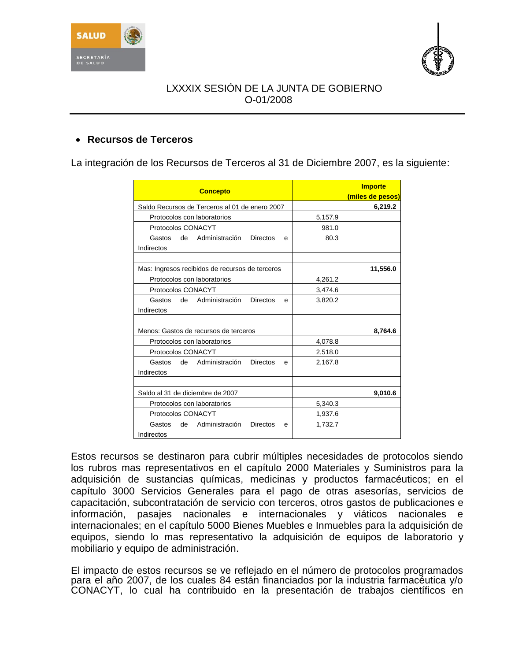



# **Recursos de Terceros**

La integración de los Recursos de Terceros al 31 de Diciembre 2007, es la siguiente:

| <b>Concepto</b>                                                   |         | <b>Importe</b><br>(miles de pesos) |
|-------------------------------------------------------------------|---------|------------------------------------|
| Saldo Recursos de Terceros al 01 de enero 2007                    |         | 6,219.2                            |
| Protocolos con laboratorios                                       | 5,157.9 |                                    |
| Protocolos CONACYT                                                | 981.0   |                                    |
| Gastos<br>de Administración<br><b>Directos</b><br>e<br>Indirectos | 80.3    |                                    |
| Mas: Ingresos recibidos de recursos de terceros                   |         | 11,556.0                           |
| Protocolos con laboratorios                                       | 4,261.2 |                                    |
| Protocolos CONACYT                                                | 3,474.6 |                                    |
| Gastos de Administración<br><b>Directos</b><br>e<br>Indirectos    | 3,820.2 |                                    |
| Menos: Gastos de recursos de terceros                             |         | 8,764.6                            |
| Protocolos con laboratorios                                       | 4,078.8 |                                    |
| Protocolos CONACYT                                                | 2,518.0 |                                    |
| Gastos de Administración<br><b>Directos</b><br>е<br>Indirectos    | 2,167.8 |                                    |
| Saldo al 31 de diciembre de 2007                                  |         | 9,010.6                            |
| Protocolos con laboratorios                                       | 5,340.3 |                                    |
| Protocolos CONACYT                                                | 1,937.6 |                                    |
| Administración<br>Directos<br>Gastos<br>de<br>e<br>Indirectos     | 1,732.7 |                                    |

Estos recursos se destinaron para cubrir múltiples necesidades de protocolos siendo los rubros mas representativos en el capítulo 2000 Materiales y Suministros para la adquisición de sustancias químicas, medicinas y productos farmacéuticos; en el capítulo 3000 Servicios Generales para el pago de otras asesorías, servicios de capacitación, subcontratación de servicio con terceros, otros gastos de publicaciones e información, pasajes nacionales e internacionales y viáticos nacionales e internacionales; en el capítulo 5000 Bienes Muebles e Inmuebles para la adquisición de equipos, siendo lo mas representativo la adquisición de equipos de laboratorio y mobiliario y equipo de administración.

El impacto de estos recursos se ve reflejado en el número de protocolos programados para el año 2007, de los cuales 84 están financiados por la industria farmacéutica y/o CONACYT, lo cual ha contribuido en la presentación de trabajos científicos en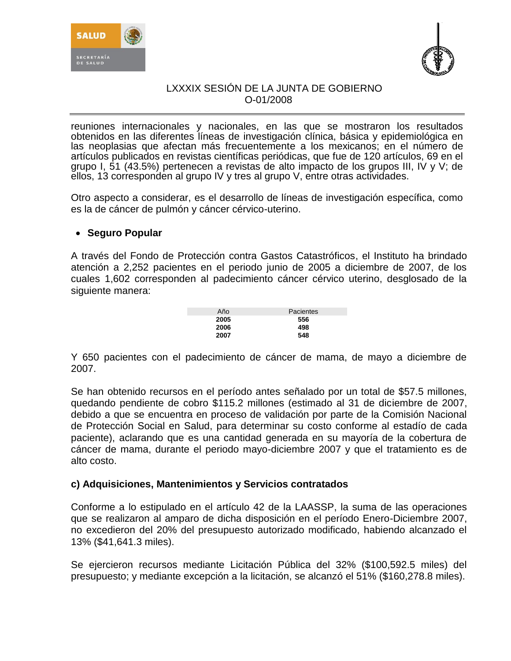



reuniones internacionales y nacionales, en las que se mostraron los resultados obtenidos en las diferentes líneas de investigación clínica, básica y epidemiológica en las neoplasias que afectan más frecuentemente a los mexicanos; en el número de artículos publicados en revistas científicas periódicas, que fue de 120 artículos, 69 en el grupo I, 51 (43.5%) pertenecen a revistas de alto impacto de los grupos III, IV y V; de ellos, 13 corresponden al grupo IV y tres al grupo V, entre otras actividades.

Otro aspecto a considerar, es el desarrollo de líneas de investigación específica, como es la de cáncer de pulmón y cáncer cérvico-uterino.

## **Seguro Popular**

A través del Fondo de Protección contra Gastos Catastróficos, el Instituto ha brindado atención a 2,252 pacientes en el periodo junio de 2005 a diciembre de 2007, de los cuales 1,602 corresponden al padecimiento cáncer cérvico uterino, desglosado de la siguiente manera:

| Año  | Pacientes |
|------|-----------|
| 2005 | 556       |
| 2006 | 498       |
| 2007 | 548       |

Y 650 pacientes con el padecimiento de cáncer de mama, de mayo a diciembre de 2007.

Se han obtenido recursos en el período antes señalado por un total de \$57.5 millones, quedando pendiente de cobro \$115.2 millones (estimado al 31 de diciembre de 2007, debido a que se encuentra en proceso de validación por parte de la Comisión Nacional de Protección Social en Salud, para determinar su costo conforme al estadío de cada paciente), aclarando que es una cantidad generada en su mayoría de la cobertura de cáncer de mama, durante el periodo mayo-diciembre 2007 y que el tratamiento es de alto costo.

## **c) Adquisiciones, Mantenimientos y Servicios contratados**

Conforme a lo estipulado en el artículo 42 de la LAASSP, la suma de las operaciones que se realizaron al amparo de dicha disposición en el período Enero-Diciembre 2007, no excedieron del 20% del presupuesto autorizado modificado, habiendo alcanzado el 13% (\$41,641.3 miles).

Se ejercieron recursos mediante Licitación Pública del 32% (\$100,592.5 miles) del presupuesto; y mediante excepción a la licitación, se alcanzó el 51% (\$160,278.8 miles).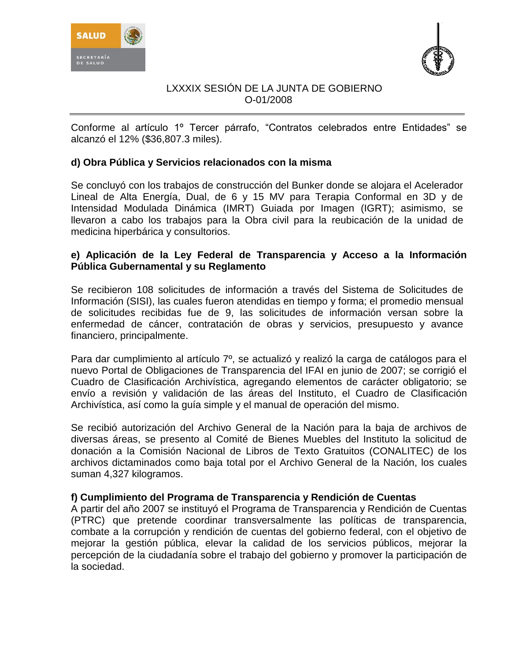



Conforme al artículo 1º Tercer párrafo, "Contratos celebrados entre Entidades" se alcanzó el 12% (\$36,807.3 miles).

# **d) Obra Pública y Servicios relacionados con la misma**

Se concluyó con los trabajos de construcción del Bunker donde se alojara el Acelerador Lineal de Alta Energía, Dual, de 6 y 15 MV para Terapia Conformal en 3D y de Intensidad Modulada Dinámica (IMRT) Guiada por Imagen (IGRT); asimismo, se llevaron a cabo los trabajos para la Obra civil para la reubicación de la unidad de medicina hiperbárica y consultorios.

# **e) Aplicación de la Ley Federal de Transparencia y Acceso a la Información Pública Gubernamental y su Reglamento**

Se recibieron 108 solicitudes de información a través del Sistema de Solicitudes de Información (SISI), las cuales fueron atendidas en tiempo y forma; el promedio mensual de solicitudes recibidas fue de 9, las solicitudes de información versan sobre la enfermedad de cáncer, contratación de obras y servicios, presupuesto y avance financiero, principalmente.

Para dar cumplimiento al artículo 7º, se actualizó y realizó la carga de catálogos para el nuevo Portal de Obligaciones de Transparencia del IFAI en junio de 2007; se corrigió el Cuadro de Clasificación Archivística, agregando elementos de carácter obligatorio; se envío a revisión y validación de las áreas del Instituto, el Cuadro de Clasificación Archivística, así como la guía simple y el manual de operación del mismo.

Se recibió autorización del Archivo General de la Nación para la baja de archivos de diversas áreas, se presento al Comité de Bienes Muebles del Instituto la solicitud de donación a la Comisión Nacional de Libros de Texto Gratuitos (CONALITEC) de los archivos dictaminados como baja total por el Archivo General de la Nación, los cuales suman 4,327 kilogramos.

## **f) Cumplimiento del Programa de Transparencia y Rendición de Cuentas**

A partir del año 2007 se instituyó el Programa de Transparencia y Rendición de Cuentas (PTRC) que pretende coordinar transversalmente las políticas de transparencia, combate a la corrupción y rendición de cuentas del gobierno federal, con el objetivo de mejorar la gestión pública, elevar la calidad de los servicios públicos, mejorar la percepción de la ciudadanía sobre el trabajo del gobierno y promover la participación de la sociedad.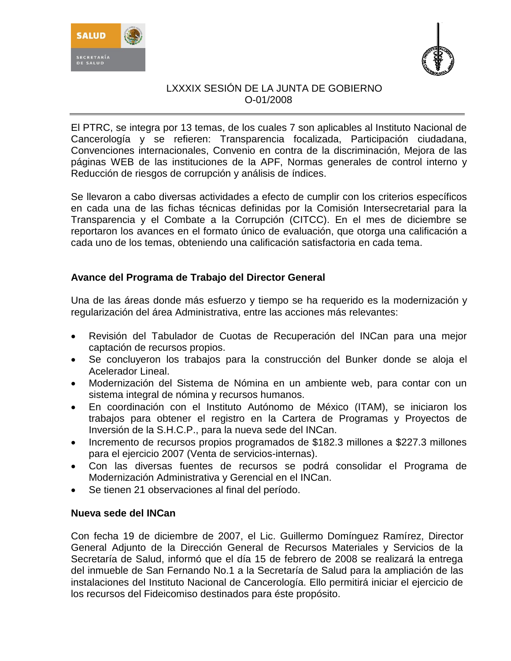



El PTRC, se integra por 13 temas, de los cuales 7 son aplicables al Instituto Nacional de Cancerología y se refieren: Transparencia focalizada, Participación ciudadana, Convenciones internacionales, Convenio en contra de la discriminación, Mejora de las páginas WEB de las instituciones de la APF, Normas generales de control interno y Reducción de riesgos de corrupción y análisis de índices.

Se llevaron a cabo diversas actividades a efecto de cumplir con los criterios específicos en cada una de las fichas técnicas definidas por la Comisión Intersecretarial para la Transparencia y el Combate a la Corrupción (CITCC). En el mes de diciembre se reportaron los avances en el formato único de evaluación, que otorga una calificación a cada uno de los temas, obteniendo una calificación satisfactoria en cada tema.

# **Avance del Programa de Trabajo del Director General**

Una de las áreas donde más esfuerzo y tiempo se ha requerido es la modernización y regularización del área Administrativa, entre las acciones más relevantes:

- Revisión del Tabulador de Cuotas de Recuperación del INCan para una mejor captación de recursos propios.
- Se concluyeron los trabajos para la construcción del Bunker donde se aloja el Acelerador Lineal.
- Modernización del Sistema de Nómina en un ambiente web, para contar con un sistema integral de nómina y recursos humanos.
- En coordinación con el Instituto Autónomo de México (ITAM), se iniciaron los trabajos para obtener el registro en la Cartera de Programas y Proyectos de Inversión de la S.H.C.P., para la nueva sede del INCan.
- Incremento de recursos propios programados de \$182.3 millones a \$227.3 millones para el ejercicio 2007 (Venta de servicios-internas).
- Con las diversas fuentes de recursos se podrá consolidar el Programa de Modernización Administrativa y Gerencial en el INCan.
- Se tienen 21 observaciones al final del período.

## **Nueva sede del INCan**

Con fecha 19 de diciembre de 2007, el Lic. Guillermo Domínguez Ramírez, Director General Adjunto de la Dirección General de Recursos Materiales y Servicios de la Secretaría de Salud, informó que el día 15 de febrero de 2008 se realizará la entrega del inmueble de San Fernando No.1 a la Secretaría de Salud para la ampliación de las instalaciones del Instituto Nacional de Cancerología. Ello permitirá iniciar el ejercicio de los recursos del Fideicomiso destinados para éste propósito.